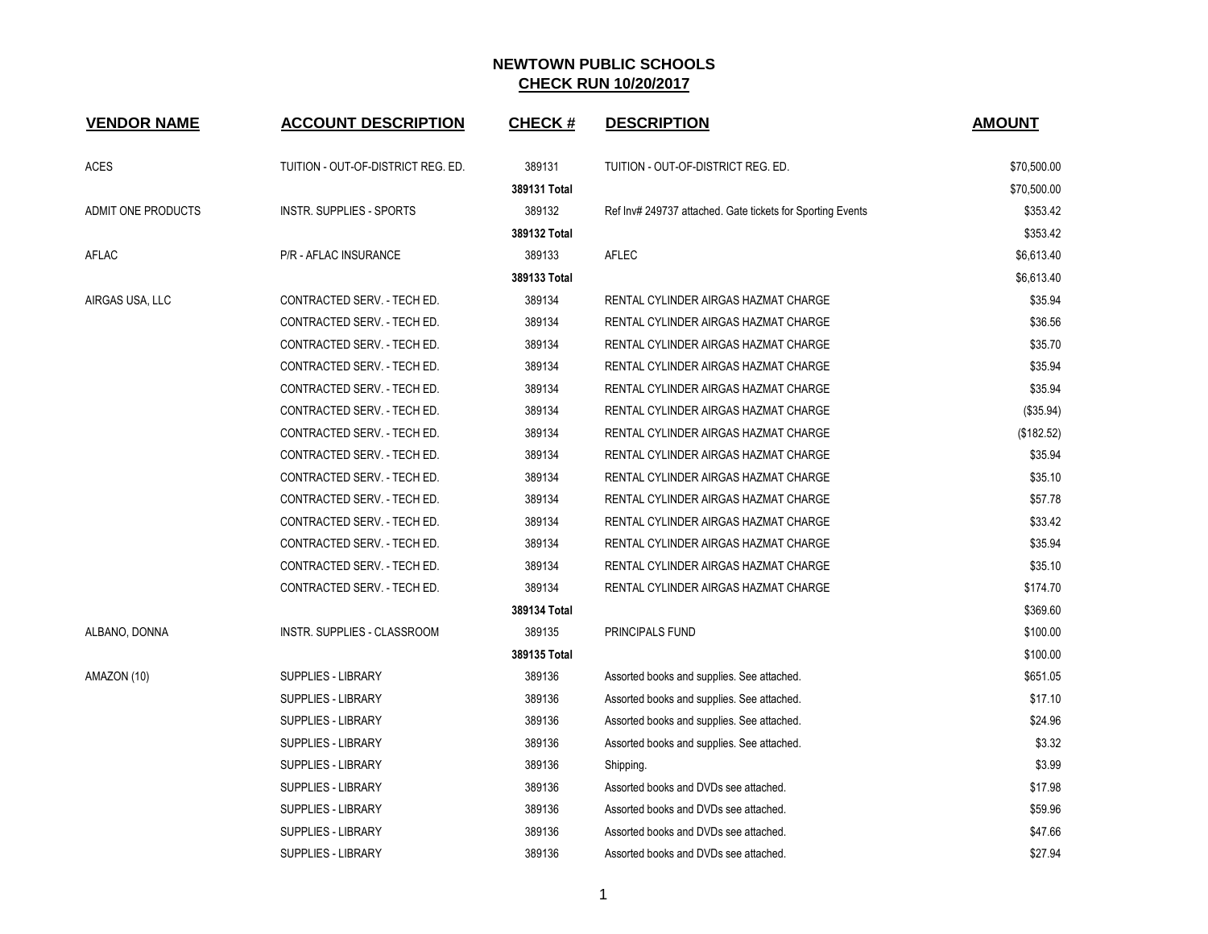| <b>VENDOR NAME</b>        | <b>ACCOUNT DESCRIPTION</b>         | <b>CHECK#</b> | <b>DESCRIPTION</b>                                         | <b>AMOUNT</b> |
|---------------------------|------------------------------------|---------------|------------------------------------------------------------|---------------|
| ACES                      | TUITION - OUT-OF-DISTRICT REG. ED. | 389131        | TUITION - OUT-OF-DISTRICT REG. ED.                         | \$70,500.00   |
|                           |                                    | 389131 Total  |                                                            | \$70,500.00   |
| <b>ADMIT ONE PRODUCTS</b> | <b>INSTR. SUPPLIES - SPORTS</b>    | 389132        | Ref Inv# 249737 attached. Gate tickets for Sporting Events | \$353.42      |
|                           |                                    | 389132 Total  |                                                            | \$353.42      |
| AFLAC                     | <b>P/R - AFLAC INSURANCE</b>       | 389133        | <b>AFLEC</b>                                               | \$6,613.40    |
|                           |                                    | 389133 Total  |                                                            | \$6,613.40    |
| AIRGAS USA, LLC           | CONTRACTED SERV. - TECH ED.        | 389134        | RENTAL CYLINDER AIRGAS HAZMAT CHARGE                       | \$35.94       |
|                           | CONTRACTED SERV. - TECH ED.        | 389134        | RENTAL CYLINDER AIRGAS HAZMAT CHARGE                       | \$36.56       |
|                           | CONTRACTED SERV. - TECH ED.        | 389134        | RENTAL CYLINDER AIRGAS HAZMAT CHARGE                       | \$35.70       |
|                           | CONTRACTED SERV. - TECH ED.        | 389134        | RENTAL CYLINDER AIRGAS HAZMAT CHARGE                       | \$35.94       |
|                           | CONTRACTED SERV. - TECH ED.        | 389134        | RENTAL CYLINDER AIRGAS HAZMAT CHARGE                       | \$35.94       |
|                           | CONTRACTED SERV. - TECH ED.        | 389134        | RENTAL CYLINDER AIRGAS HAZMAT CHARGE                       | (\$35.94)     |
|                           | CONTRACTED SERV. - TECH ED.        | 389134        | RENTAL CYLINDER AIRGAS HAZMAT CHARGE                       | (\$182.52)    |
|                           | CONTRACTED SERV. - TECH ED.        | 389134        | RENTAL CYLINDER AIRGAS HAZMAT CHARGE                       | \$35.94       |
|                           | CONTRACTED SERV. - TECH ED.        | 389134        | RENTAL CYLINDER AIRGAS HAZMAT CHARGE                       | \$35.10       |
|                           | CONTRACTED SERV. - TECH ED.        | 389134        | RENTAL CYLINDER AIRGAS HAZMAT CHARGE                       | \$57.78       |
|                           | CONTRACTED SERV. - TECH ED.        | 389134        | RENTAL CYLINDER AIRGAS HAZMAT CHARGE                       | \$33.42       |
|                           | CONTRACTED SERV. - TECH ED.        | 389134        | RENTAL CYLINDER AIRGAS HAZMAT CHARGE                       | \$35.94       |
|                           | CONTRACTED SERV. - TECH ED.        | 389134        | RENTAL CYLINDER AIRGAS HAZMAT CHARGE                       | \$35.10       |
|                           | CONTRACTED SERV. - TECH ED.        | 389134        | RENTAL CYLINDER AIRGAS HAZMAT CHARGE                       | \$174.70      |
|                           |                                    | 389134 Total  |                                                            | \$369.60      |
| ALBANO, DONNA             | INSTR. SUPPLIES - CLASSROOM        | 389135        | PRINCIPALS FUND                                            | \$100.00      |
|                           |                                    | 389135 Total  |                                                            | \$100.00      |
| AMAZON (10)               | <b>SUPPLIES - LIBRARY</b>          | 389136        | Assorted books and supplies. See attached.                 | \$651.05      |
|                           | <b>SUPPLIES - LIBRARY</b>          | 389136        | Assorted books and supplies. See attached.                 | \$17.10       |
|                           | <b>SUPPLIES - LIBRARY</b>          | 389136        | Assorted books and supplies. See attached.                 | \$24.96       |
|                           | SUPPLIES - LIBRARY                 | 389136        | Assorted books and supplies. See attached.                 | \$3.32        |
|                           | SUPPLIES - LIBRARY                 | 389136        | Shipping.                                                  | \$3.99        |
|                           | SUPPLIES - LIBRARY                 | 389136        | Assorted books and DVDs see attached.                      | \$17.98       |
|                           | <b>SUPPLIES - LIBRARY</b>          | 389136        | Assorted books and DVDs see attached.                      | \$59.96       |
|                           | <b>SUPPLIES - LIBRARY</b>          | 389136        | Assorted books and DVDs see attached.                      | \$47.66       |
|                           | <b>SUPPLIES - LIBRARY</b>          | 389136        | Assorted books and DVDs see attached.                      | \$27.94       |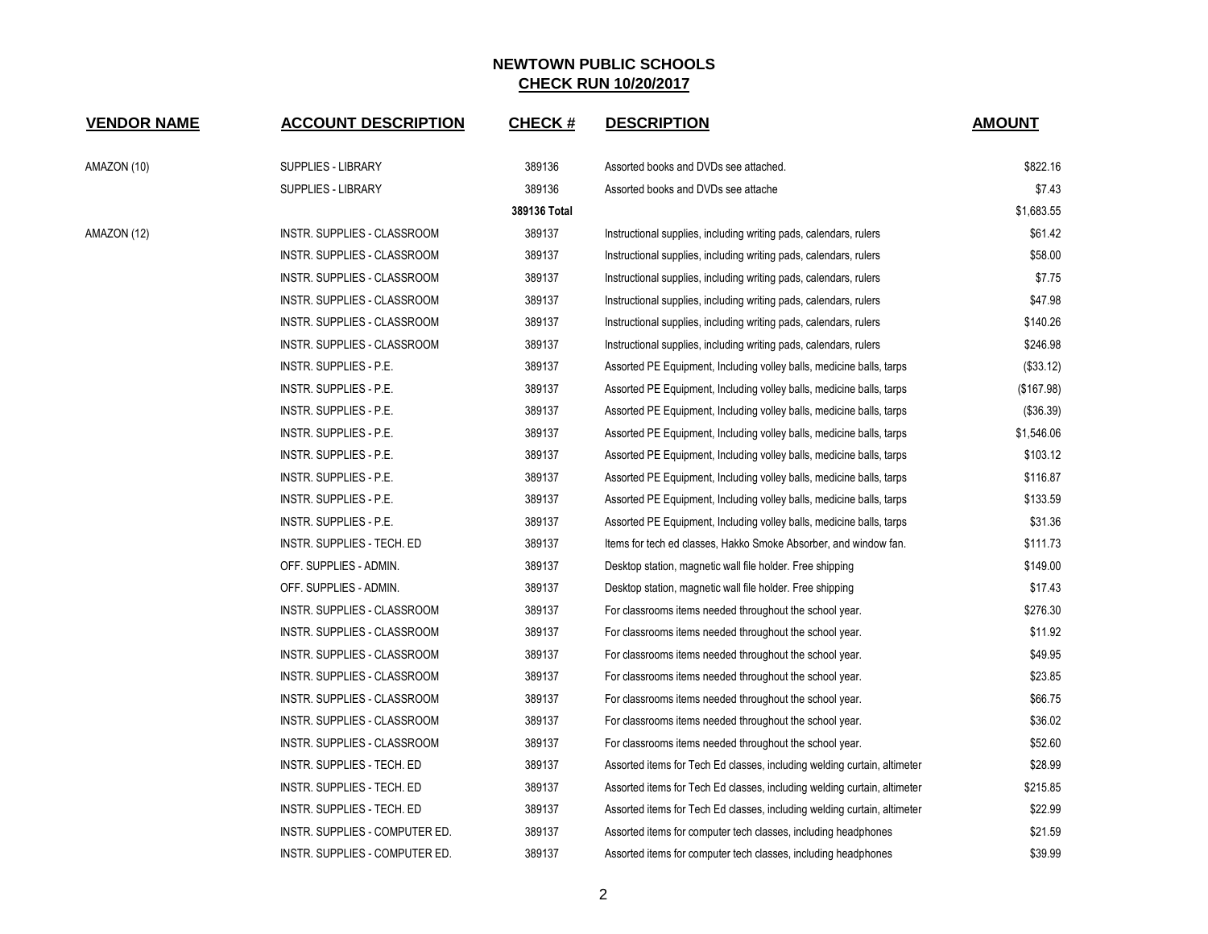| <b>VENDOR NAME</b> | <b>ACCOUNT DESCRIPTION</b>         | <b>CHECK#</b> | <b>DESCRIPTION</b>                                                       | <b>AMOUNT</b> |
|--------------------|------------------------------------|---------------|--------------------------------------------------------------------------|---------------|
| AMAZON (10)        | <b>SUPPLIES - LIBRARY</b>          | 389136        | Assorted books and DVDs see attached.                                    | \$822.16      |
|                    | SUPPLIES - LIBRARY                 | 389136        | Assorted books and DVDs see attache                                      | \$7.43        |
|                    |                                    | 389136 Total  |                                                                          | \$1,683.55    |
| AMAZON (12)        | INSTR. SUPPLIES - CLASSROOM        | 389137        | Instructional supplies, including writing pads, calendars, rulers        | \$61.42       |
|                    | INSTR. SUPPLIES - CLASSROOM        | 389137        | Instructional supplies, including writing pads, calendars, rulers        | \$58.00       |
|                    | INSTR. SUPPLIES - CLASSROOM        | 389137        | Instructional supplies, including writing pads, calendars, rulers        | \$7.75        |
|                    | INSTR. SUPPLIES - CLASSROOM        | 389137        | Instructional supplies, including writing pads, calendars, rulers        | \$47.98       |
|                    | INSTR. SUPPLIES - CLASSROOM        | 389137        | Instructional supplies, including writing pads, calendars, rulers        | \$140.26      |
|                    | INSTR. SUPPLIES - CLASSROOM        | 389137        | Instructional supplies, including writing pads, calendars, rulers        | \$246.98      |
|                    | INSTR. SUPPLIES - P.E.             | 389137        | Assorted PE Equipment, Including volley balls, medicine balls, tarps     | (\$33.12)     |
|                    | INSTR. SUPPLIES - P.E.             | 389137        | Assorted PE Equipment, Including volley balls, medicine balls, tarps     | (\$167.98)    |
|                    | INSTR. SUPPLIES - P.E.             | 389137        | Assorted PE Equipment, Including volley balls, medicine balls, tarps     | (\$36.39)     |
|                    | INSTR. SUPPLIES - P.E.             | 389137        | Assorted PE Equipment, Including volley balls, medicine balls, tarps     | \$1,546.06    |
|                    | INSTR. SUPPLIES - P.E.             | 389137        | Assorted PE Equipment, Including volley balls, medicine balls, tarps     | \$103.12      |
|                    | INSTR. SUPPLIES - P.E.             | 389137        | Assorted PE Equipment, Including volley balls, medicine balls, tarps     | \$116.87      |
|                    | INSTR. SUPPLIES - P.E.             | 389137        | Assorted PE Equipment, Including volley balls, medicine balls, tarps     | \$133.59      |
|                    | INSTR. SUPPLIES - P.E.             | 389137        | Assorted PE Equipment, Including volley balls, medicine balls, tarps     | \$31.36       |
|                    | INSTR. SUPPLIES - TECH. ED         | 389137        | Items for tech ed classes, Hakko Smoke Absorber, and window fan.         | \$111.73      |
|                    | OFF. SUPPLIES - ADMIN.             | 389137        | Desktop station, magnetic wall file holder. Free shipping                | \$149.00      |
|                    | OFF. SUPPLIES - ADMIN.             | 389137        | Desktop station, magnetic wall file holder. Free shipping                | \$17.43       |
|                    | <b>INSTR. SUPPLIES - CLASSROOM</b> | 389137        | For classrooms items needed throughout the school year.                  | \$276.30      |
|                    | INSTR. SUPPLIES - CLASSROOM        | 389137        | For classrooms items needed throughout the school year.                  | \$11.92       |
|                    | INSTR. SUPPLIES - CLASSROOM        | 389137        | For classrooms items needed throughout the school year.                  | \$49.95       |
|                    | INSTR. SUPPLIES - CLASSROOM        | 389137        | For classrooms items needed throughout the school year.                  | \$23.85       |
|                    | INSTR. SUPPLIES - CLASSROOM        | 389137        | For classrooms items needed throughout the school year.                  | \$66.75       |
|                    | INSTR. SUPPLIES - CLASSROOM        | 389137        | For classrooms items needed throughout the school year.                  | \$36.02       |
|                    | INSTR. SUPPLIES - CLASSROOM        | 389137        | For classrooms items needed throughout the school year.                  | \$52.60       |
|                    | INSTR. SUPPLIES - TECH. ED         | 389137        | Assorted items for Tech Ed classes, including welding curtain, altimeter | \$28.99       |
|                    | INSTR. SUPPLIES - TECH. ED         | 389137        | Assorted items for Tech Ed classes, including welding curtain, altimeter | \$215.85      |
|                    | INSTR. SUPPLIES - TECH. ED         | 389137        | Assorted items for Tech Ed classes, including welding curtain, altimeter | \$22.99       |
|                    | INSTR. SUPPLIES - COMPUTER ED.     | 389137        | Assorted items for computer tech classes, including headphones           | \$21.59       |
|                    | INSTR. SUPPLIES - COMPUTER ED.     | 389137        | Assorted items for computer tech classes, including headphones           | \$39.99       |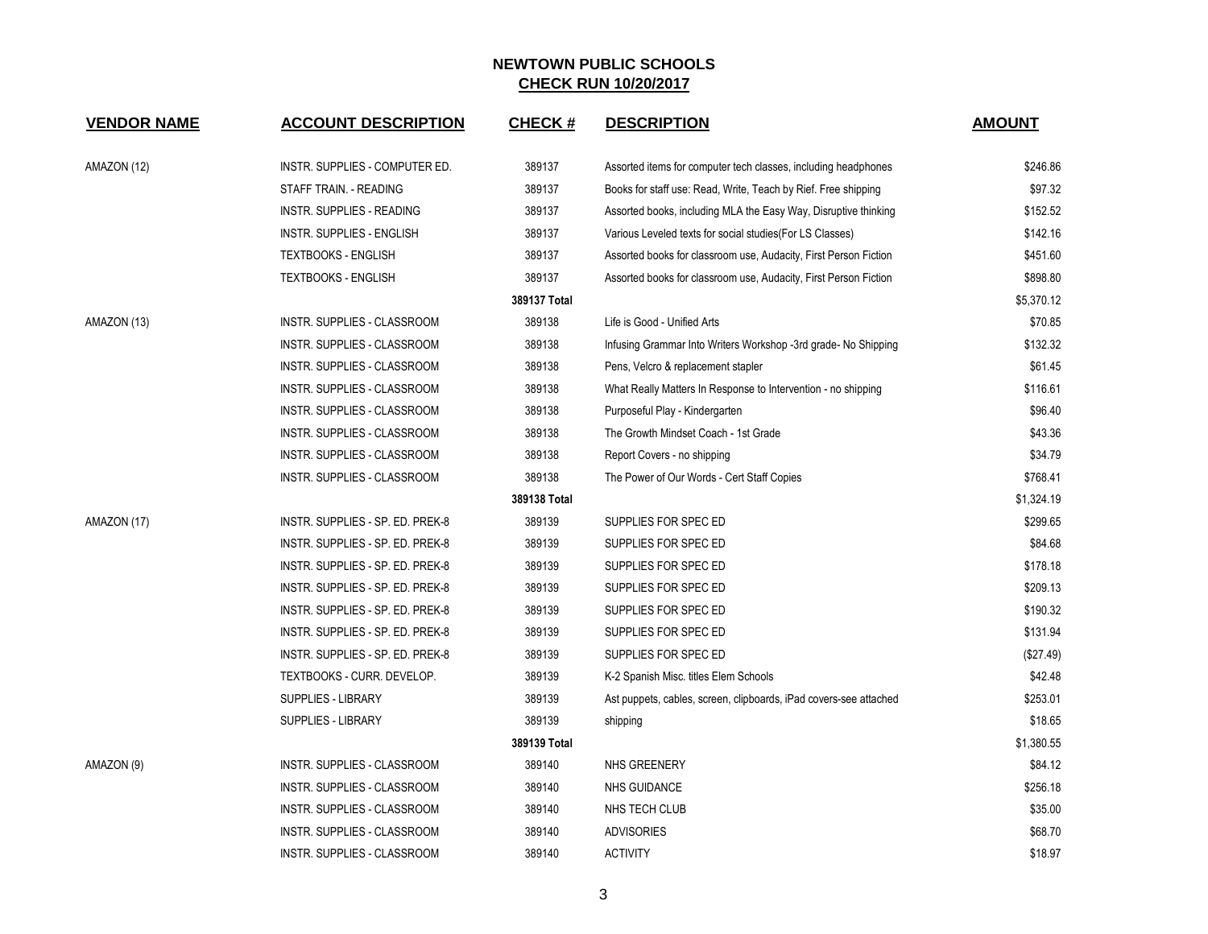| <b>VENDOR NAME</b> | <b>ACCOUNT DESCRIPTION</b>       | <b>CHECK#</b> | <b>DESCRIPTION</b>                                                | <b>AMOUNT</b> |
|--------------------|----------------------------------|---------------|-------------------------------------------------------------------|---------------|
| AMAZON (12)        | INSTR. SUPPLIES - COMPUTER ED.   | 389137        | Assorted items for computer tech classes, including headphones    | \$246.86      |
|                    | STAFF TRAIN. - READING           | 389137        | Books for staff use: Read, Write, Teach by Rief. Free shipping    | \$97.32       |
|                    | <b>INSTR. SUPPLIES - READING</b> | 389137        | Assorted books, including MLA the Easy Way, Disruptive thinking   | \$152.52      |
|                    | INSTR. SUPPLIES - ENGLISH        | 389137        | Various Leveled texts for social studies (For LS Classes)         | \$142.16      |
|                    | <b>TEXTBOOKS - ENGLISH</b>       | 389137        | Assorted books for classroom use, Audacity, First Person Fiction  | \$451.60      |
|                    | <b>TEXTBOOKS - ENGLISH</b>       | 389137        | Assorted books for classroom use, Audacity, First Person Fiction  | \$898.80      |
|                    |                                  | 389137 Total  |                                                                   | \$5,370.12    |
| AMAZON (13)        | INSTR. SUPPLIES - CLASSROOM      | 389138        | Life is Good - Unified Arts                                       | \$70.85       |
|                    | INSTR. SUPPLIES - CLASSROOM      | 389138        | Infusing Grammar Into Writers Workshop -3rd grade-No Shipping     | \$132.32      |
|                    | INSTR. SUPPLIES - CLASSROOM      | 389138        | Pens, Velcro & replacement stapler                                | \$61.45       |
|                    | INSTR. SUPPLIES - CLASSROOM      | 389138        | What Really Matters In Response to Intervention - no shipping     | \$116.61      |
|                    | INSTR. SUPPLIES - CLASSROOM      | 389138        | Purposeful Play - Kindergarten                                    | \$96.40       |
|                    | INSTR. SUPPLIES - CLASSROOM      | 389138        | The Growth Mindset Coach - 1st Grade                              | \$43.36       |
|                    | INSTR. SUPPLIES - CLASSROOM      | 389138        | Report Covers - no shipping                                       | \$34.79       |
|                    | INSTR. SUPPLIES - CLASSROOM      | 389138        | The Power of Our Words - Cert Staff Copies                        | \$768.41      |
|                    |                                  | 389138 Total  |                                                                   | \$1,324.19    |
| AMAZON (17)        | INSTR. SUPPLIES - SP. ED. PREK-8 | 389139        | SUPPLIES FOR SPEC ED                                              | \$299.65      |
|                    | INSTR. SUPPLIES - SP. ED. PREK-8 | 389139        | SUPPLIES FOR SPEC ED                                              | \$84.68       |
|                    | INSTR. SUPPLIES - SP. ED. PREK-8 | 389139        | SUPPLIES FOR SPEC ED                                              | \$178.18      |
|                    | INSTR. SUPPLIES - SP. ED. PREK-8 | 389139        | SUPPLIES FOR SPEC ED                                              | \$209.13      |
|                    | INSTR. SUPPLIES - SP. ED. PREK-8 | 389139        | SUPPLIES FOR SPEC ED                                              | \$190.32      |
|                    | INSTR. SUPPLIES - SP. ED. PREK-8 | 389139        | SUPPLIES FOR SPEC ED                                              | \$131.94      |
|                    | INSTR. SUPPLIES - SP. ED. PREK-8 | 389139        | SUPPLIES FOR SPEC ED                                              | (\$27.49)     |
|                    | TEXTBOOKS - CURR. DEVELOP.       | 389139        | K-2 Spanish Misc. titles Elem Schools                             | \$42.48       |
|                    | SUPPLIES - LIBRARY               | 389139        | Ast puppets, cables, screen, clipboards, iPad covers-see attached | \$253.01      |
|                    | SUPPLIES - LIBRARY               | 389139        | shipping                                                          | \$18.65       |
|                    |                                  | 389139 Total  |                                                                   | \$1,380.55    |
| AMAZON (9)         | INSTR. SUPPLIES - CLASSROOM      | 389140        | NHS GREENERY                                                      | \$84.12       |
|                    | INSTR. SUPPLIES - CLASSROOM      | 389140        | <b>NHS GUIDANCE</b>                                               | \$256.18      |
|                    | INSTR. SUPPLIES - CLASSROOM      | 389140        | NHS TECH CLUB                                                     | \$35.00       |
|                    | INSTR. SUPPLIES - CLASSROOM      | 389140        | <b>ADVISORIES</b>                                                 | \$68.70       |
|                    | INSTR. SUPPLIES - CLASSROOM      | 389140        | <b>ACTIVITY</b>                                                   | \$18.97       |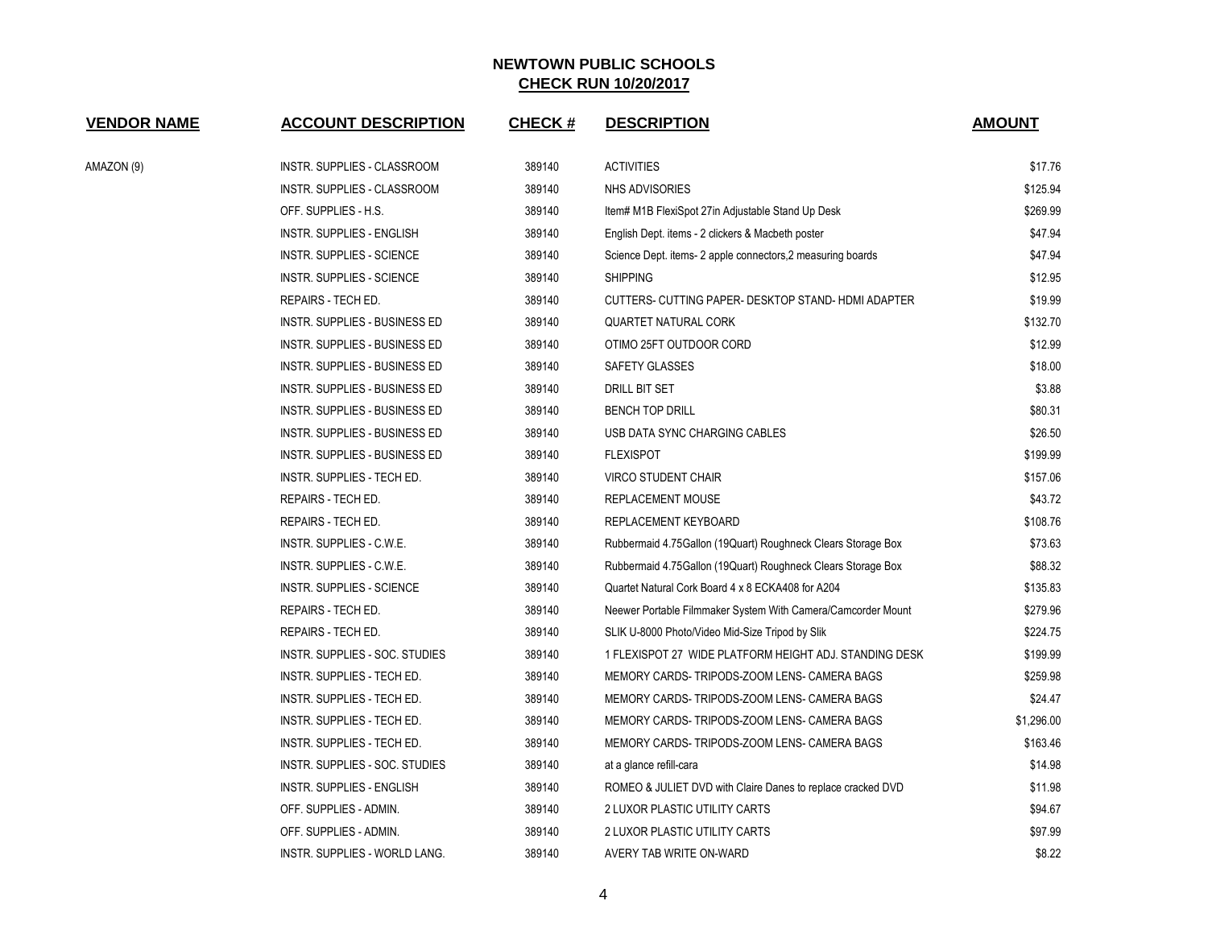| <b>VENDOR NAME</b> | <b>ACCOUNT DESCRIPTION</b>       | <b>CHECK#</b> | <b>DESCRIPTION</b>                                           | <b>AMOUNT</b> |
|--------------------|----------------------------------|---------------|--------------------------------------------------------------|---------------|
| AMAZON (9)         | INSTR. SUPPLIES - CLASSROOM      | 389140        | <b>ACTIVITIES</b>                                            | \$17.76       |
|                    | INSTR. SUPPLIES - CLASSROOM      | 389140        | <b>NHS ADVISORIES</b>                                        | \$125.94      |
|                    | OFF. SUPPLIES - H.S.             | 389140        | Item# M1B FlexiSpot 27in Adjustable Stand Up Desk            | \$269.99      |
|                    | INSTR. SUPPLIES - ENGLISH        | 389140        | English Dept. items - 2 clickers & Macbeth poster            | \$47.94       |
|                    | <b>INSTR. SUPPLIES - SCIENCE</b> | 389140        | Science Dept. items- 2 apple connectors, 2 measuring boards  | \$47.94       |
|                    | <b>INSTR. SUPPLIES - SCIENCE</b> | 389140        | <b>SHIPPING</b>                                              | \$12.95       |
|                    | REPAIRS - TECH ED.               | 389140        | CUTTERS- CUTTING PAPER- DESKTOP STAND-HDMI ADAPTER           | \$19.99       |
|                    | INSTR. SUPPLIES - BUSINESS ED    | 389140        | <b>QUARTET NATURAL CORK</b>                                  | \$132.70      |
|                    | INSTR. SUPPLIES - BUSINESS ED    | 389140        | OTIMO 25FT OUTDOOR CORD                                      | \$12.99       |
|                    | INSTR. SUPPLIES - BUSINESS ED    | 389140        | SAFETY GLASSES                                               | \$18.00       |
|                    | INSTR. SUPPLIES - BUSINESS ED    | 389140        | DRILL BIT SET                                                | \$3.88        |
|                    | INSTR. SUPPLIES - BUSINESS ED    | 389140        | <b>BENCH TOP DRILL</b>                                       | \$80.31       |
|                    | INSTR. SUPPLIES - BUSINESS ED    | 389140        | USB DATA SYNC CHARGING CABLES                                | \$26.50       |
|                    | INSTR. SUPPLIES - BUSINESS ED    | 389140        | <b>FLEXISPOT</b>                                             | \$199.99      |
|                    | INSTR. SUPPLIES - TECH ED.       | 389140        | <b>VIRCO STUDENT CHAIR</b>                                   | \$157.06      |
|                    | REPAIRS - TECH ED.               | 389140        | REPLACEMENT MOUSE                                            | \$43.72       |
|                    | REPAIRS - TECH ED.               | 389140        | REPLACEMENT KEYBOARD                                         | \$108.76      |
|                    | INSTR. SUPPLIES - C.W.E.         | 389140        | Rubbermaid 4.75Gallon (19Quart) Roughneck Clears Storage Box | \$73.63       |
|                    | INSTR. SUPPLIES - C.W.E.         | 389140        | Rubbermaid 4.75Gallon (19Quart) Roughneck Clears Storage Box | \$88.32       |
|                    | INSTR. SUPPLIES - SCIENCE        | 389140        | Quartet Natural Cork Board 4 x 8 ECKA408 for A204            | \$135.83      |
|                    | REPAIRS - TECH ED.               | 389140        | Neewer Portable Filmmaker System With Camera/Camcorder Mount | \$279.96      |
|                    | REPAIRS - TECH ED.               | 389140        | SLIK U-8000 Photo/Video Mid-Size Tripod by Slik              | \$224.75      |
|                    | INSTR. SUPPLIES - SOC. STUDIES   | 389140        | 1 FLEXISPOT 27 WIDE PLATFORM HEIGHT ADJ. STANDING DESK       | \$199.99      |
|                    | INSTR. SUPPLIES - TECH ED.       | 389140        | MEMORY CARDS-TRIPODS-ZOOM LENS- CAMERA BAGS                  | \$259.98      |
|                    | INSTR. SUPPLIES - TECH ED.       | 389140        | MEMORY CARDS-TRIPODS-ZOOM LENS- CAMERA BAGS                  | \$24.47       |
|                    | INSTR. SUPPLIES - TECH ED.       | 389140        | MEMORY CARDS-TRIPODS-ZOOM LENS- CAMERA BAGS                  | \$1,296.00    |
|                    | INSTR. SUPPLIES - TECH ED.       | 389140        | MEMORY CARDS-TRIPODS-ZOOM LENS- CAMERA BAGS                  | \$163.46      |
|                    | INSTR. SUPPLIES - SOC. STUDIES   | 389140        | at a glance refill-cara                                      | \$14.98       |
|                    | <b>INSTR. SUPPLIES - ENGLISH</b> | 389140        | ROMEO & JULIET DVD with Claire Danes to replace cracked DVD  | \$11.98       |
|                    | OFF. SUPPLIES - ADMIN.           | 389140        | 2 LUXOR PLASTIC UTILITY CARTS                                | \$94.67       |
|                    | OFF. SUPPLIES - ADMIN.           | 389140        | 2 LUXOR PLASTIC UTILITY CARTS                                | \$97.99       |
|                    | INSTR. SUPPLIES - WORLD LANG.    | 389140        | AVERY TAB WRITE ON-WARD                                      | \$8.22        |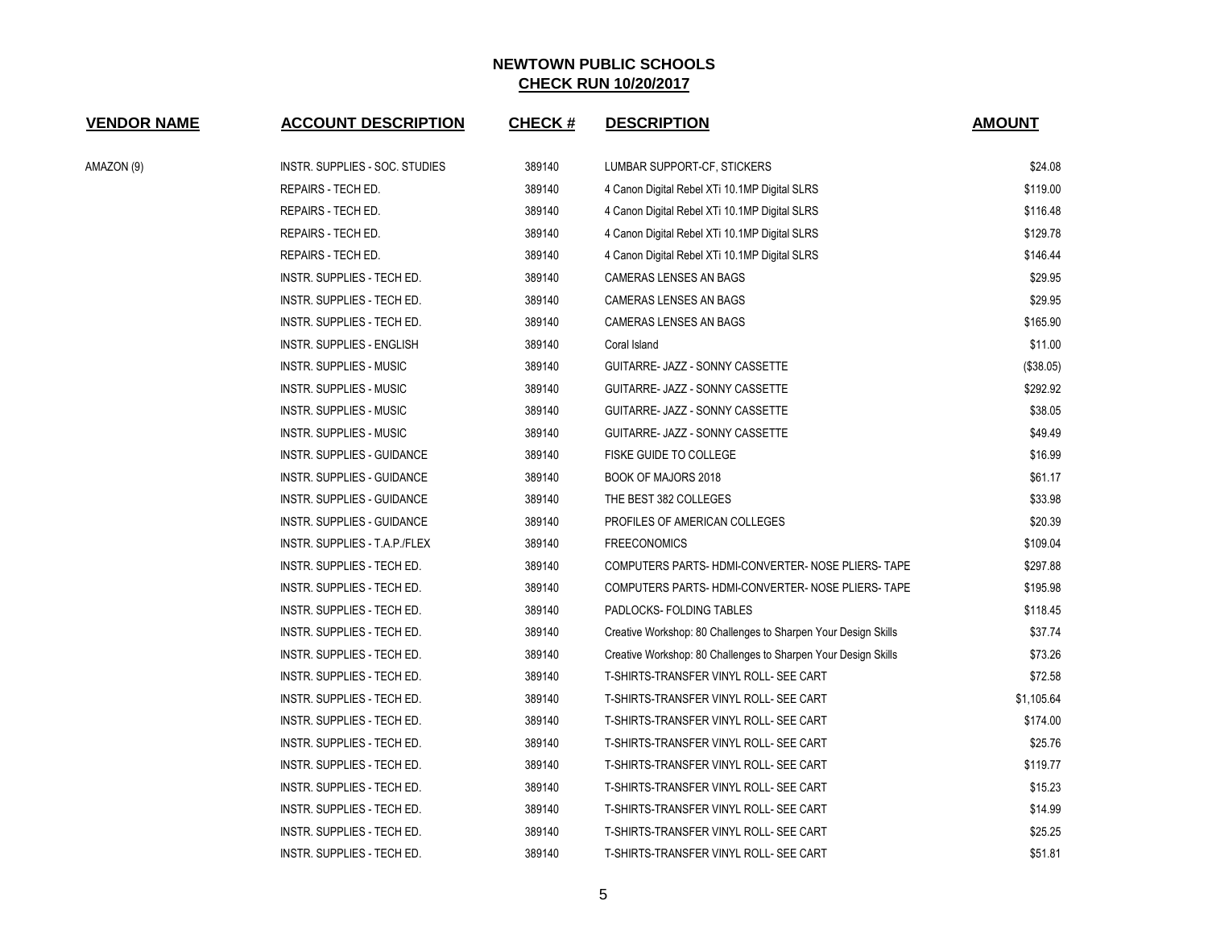| <b>VENDOR NAME</b> | <b>ACCOUNT DESCRIPTION</b>        | <b>CHECK#</b> | <b>DESCRIPTION</b>                                             | <b>AMOUNT</b> |
|--------------------|-----------------------------------|---------------|----------------------------------------------------------------|---------------|
| AMAZON (9)         | INSTR. SUPPLIES - SOC. STUDIES    | 389140        | LUMBAR SUPPORT-CF, STICKERS                                    | \$24.08       |
|                    | REPAIRS - TECH ED.                | 389140        | 4 Canon Digital Rebel XTi 10.1MP Digital SLRS                  | \$119.00      |
|                    | REPAIRS - TECH ED.                | 389140        | 4 Canon Digital Rebel XTi 10.1MP Digital SLRS                  | \$116.48      |
|                    | REPAIRS - TECH ED.                | 389140        | 4 Canon Digital Rebel XTi 10.1MP Digital SLRS                  | \$129.78      |
|                    | REPAIRS - TECH ED.                | 389140        | 4 Canon Digital Rebel XTi 10.1MP Digital SLRS                  | \$146.44      |
|                    | INSTR. SUPPLIES - TECH ED.        | 389140        | CAMERAS LENSES AN BAGS                                         | \$29.95       |
|                    | INSTR. SUPPLIES - TECH ED.        | 389140        | CAMERAS LENSES AN BAGS                                         | \$29.95       |
|                    | INSTR. SUPPLIES - TECH ED.        | 389140        | CAMERAS LENSES AN BAGS                                         | \$165.90      |
|                    | INSTR. SUPPLIES - ENGLISH         | 389140        | Coral Island                                                   | \$11.00       |
|                    | <b>INSTR. SUPPLIES - MUSIC</b>    | 389140        | GUITARRE- JAZZ - SONNY CASSETTE                                | (\$38.05)     |
|                    | <b>INSTR. SUPPLIES - MUSIC</b>    | 389140        | GUITARRE- JAZZ - SONNY CASSETTE                                | \$292.92      |
|                    | <b>INSTR. SUPPLIES - MUSIC</b>    | 389140        | GUITARRE- JAZZ - SONNY CASSETTE                                | \$38.05       |
|                    | INSTR. SUPPLIES - MUSIC           | 389140        | GUITARRE- JAZZ - SONNY CASSETTE                                | \$49.49       |
|                    | INSTR. SUPPLIES - GUIDANCE        | 389140        | FISKE GUIDE TO COLLEGE                                         | \$16.99       |
|                    | INSTR. SUPPLIES - GUIDANCE        | 389140        | <b>BOOK OF MAJORS 2018</b>                                     | \$61.17       |
|                    | INSTR. SUPPLIES - GUIDANCE        | 389140        | THE BEST 382 COLLEGES                                          | \$33.98       |
|                    | <b>INSTR. SUPPLIES - GUIDANCE</b> | 389140        | PROFILES OF AMERICAN COLLEGES                                  | \$20.39       |
|                    | INSTR. SUPPLIES - T.A.P./FLEX     | 389140        | <b>FREECONOMICS</b>                                            | \$109.04      |
|                    | INSTR. SUPPLIES - TECH ED.        | 389140        | COMPUTERS PARTS-HDMI-CONVERTER-NOSE PLIERS-TAPE                | \$297.88      |
|                    | INSTR. SUPPLIES - TECH ED.        | 389140        | COMPUTERS PARTS-HDMI-CONVERTER- NOSE PLIERS-TAPE               | \$195.98      |
|                    | INSTR. SUPPLIES - TECH ED.        | 389140        | PADLOCKS- FOLDING TABLES                                       | \$118.45      |
|                    | INSTR. SUPPLIES - TECH ED.        | 389140        | Creative Workshop: 80 Challenges to Sharpen Your Design Skills | \$37.74       |
|                    | INSTR. SUPPLIES - TECH ED.        | 389140        | Creative Workshop: 80 Challenges to Sharpen Your Design Skills | \$73.26       |
|                    | INSTR. SUPPLIES - TECH ED.        | 389140        | T-SHIRTS-TRANSFER VINYL ROLL- SEE CART                         | \$72.58       |
|                    | INSTR. SUPPLIES - TECH ED.        | 389140        | T-SHIRTS-TRANSFER VINYL ROLL- SEE CART                         | \$1,105.64    |
|                    | INSTR. SUPPLIES - TECH ED.        | 389140        | T-SHIRTS-TRANSFER VINYL ROLL- SEE CART                         | \$174.00      |
|                    | INSTR. SUPPLIES - TECH ED.        | 389140        | T-SHIRTS-TRANSFER VINYL ROLL- SEE CART                         | \$25.76       |
|                    | INSTR. SUPPLIES - TECH ED.        | 389140        | T-SHIRTS-TRANSFER VINYL ROLL- SEE CART                         | \$119.77      |
|                    | INSTR. SUPPLIES - TECH ED.        | 389140        | T-SHIRTS-TRANSFER VINYL ROLL- SEE CART                         | \$15.23       |
|                    | INSTR. SUPPLIES - TECH ED.        | 389140        | T-SHIRTS-TRANSFER VINYL ROLL- SEE CART                         | \$14.99       |
|                    | INSTR. SUPPLIES - TECH ED.        | 389140        | T-SHIRTS-TRANSFER VINYL ROLL- SEE CART                         | \$25.25       |
|                    | INSTR. SUPPLIES - TECH ED.        | 389140        | T-SHIRTS-TRANSFER VINYL ROLL- SEE CART                         | \$51.81       |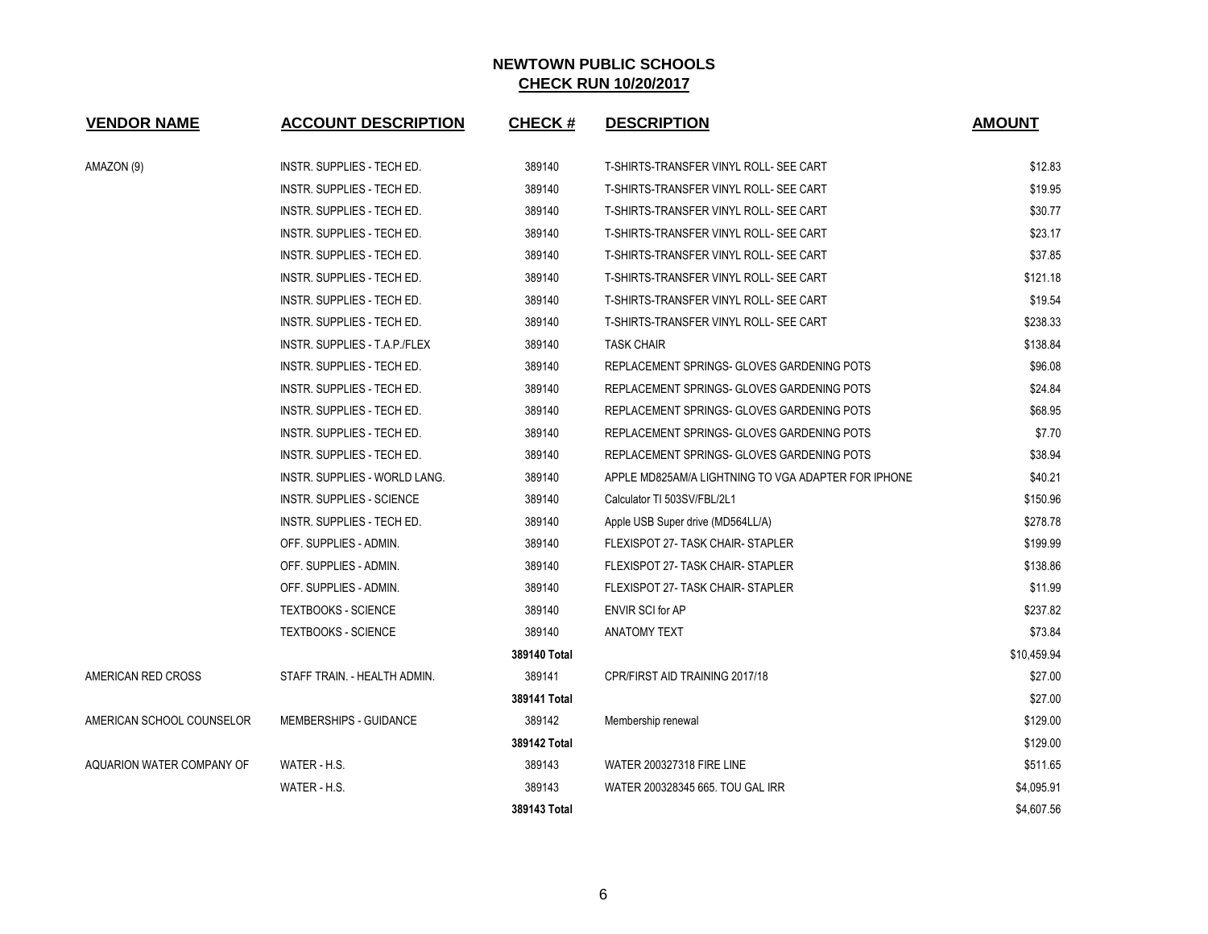| <b>VENDOR NAME</b>        | <b>ACCOUNT DESCRIPTION</b>       | <b>CHECK#</b> | <b>DESCRIPTION</b>                                  | <b>AMOUNT</b> |
|---------------------------|----------------------------------|---------------|-----------------------------------------------------|---------------|
| AMAZON (9)                | INSTR. SUPPLIES - TECH ED.       | 389140        | T-SHIRTS-TRANSFER VINYL ROLL- SEE CART              | \$12.83       |
|                           | INSTR. SUPPLIES - TECH ED.       | 389140        | T-SHIRTS-TRANSFER VINYL ROLL- SEE CART              | \$19.95       |
|                           | INSTR. SUPPLIES - TECH ED.       | 389140        | T-SHIRTS-TRANSFER VINYL ROLL- SEE CART              | \$30.77       |
|                           | INSTR. SUPPLIES - TECH ED.       | 389140        | T-SHIRTS-TRANSFER VINYL ROLL- SEE CART              | \$23.17       |
|                           | INSTR. SUPPLIES - TECH ED.       | 389140        | T-SHIRTS-TRANSFER VINYL ROLL- SEE CART              | \$37.85       |
|                           | INSTR. SUPPLIES - TECH ED.       | 389140        | T-SHIRTS-TRANSFER VINYL ROLL- SEE CART              | \$121.18      |
|                           | INSTR. SUPPLIES - TECH ED.       | 389140        | T-SHIRTS-TRANSFER VINYL ROLL- SEE CART              | \$19.54       |
|                           | INSTR. SUPPLIES - TECH ED.       | 389140        | T-SHIRTS-TRANSFER VINYL ROLL- SEE CART              | \$238.33      |
|                           | INSTR. SUPPLIES - T.A.P./FLEX    | 389140        | <b>TASK CHAIR</b>                                   | \$138.84      |
|                           | INSTR. SUPPLIES - TECH ED.       | 389140        | REPLACEMENT SPRINGS- GLOVES GARDENING POTS          | \$96.08       |
|                           | INSTR. SUPPLIES - TECH ED.       | 389140        | REPLACEMENT SPRINGS- GLOVES GARDENING POTS          | \$24.84       |
|                           | INSTR. SUPPLIES - TECH ED.       | 389140        | REPLACEMENT SPRINGS- GLOVES GARDENING POTS          | \$68.95       |
|                           | INSTR. SUPPLIES - TECH ED.       | 389140        | REPLACEMENT SPRINGS- GLOVES GARDENING POTS          | \$7.70        |
|                           | INSTR. SUPPLIES - TECH ED.       | 389140        | REPLACEMENT SPRINGS- GLOVES GARDENING POTS          | \$38.94       |
|                           | INSTR. SUPPLIES - WORLD LANG.    | 389140        | APPLE MD825AM/A LIGHTNING TO VGA ADAPTER FOR IPHONE | \$40.21       |
|                           | <b>INSTR. SUPPLIES - SCIENCE</b> | 389140        | Calculator TI 503SV/FBL/2L1                         | \$150.96      |
|                           | INSTR. SUPPLIES - TECH ED.       | 389140        | Apple USB Super drive (MD564LL/A)                   | \$278.78      |
|                           | OFF. SUPPLIES - ADMIN.           | 389140        | FLEXISPOT 27- TASK CHAIR- STAPLER                   | \$199.99      |
|                           | OFF. SUPPLIES - ADMIN.           | 389140        | FLEXISPOT 27- TASK CHAIR- STAPLER                   | \$138.86      |
|                           | OFF. SUPPLIES - ADMIN.           | 389140        | FLEXISPOT 27- TASK CHAIR-STAPLER                    | \$11.99       |
|                           | <b>TEXTBOOKS - SCIENCE</b>       | 389140        | ENVIR SCI for AP                                    | \$237.82      |
|                           | <b>TEXTBOOKS - SCIENCE</b>       | 389140        | <b>ANATOMY TEXT</b>                                 | \$73.84       |
|                           |                                  | 389140 Total  |                                                     | \$10,459.94   |
| AMERICAN RED CROSS        | STAFF TRAIN. - HEALTH ADMIN.     | 389141        | CPR/FIRST AID TRAINING 2017/18                      | \$27.00       |
|                           |                                  | 389141 Total  |                                                     | \$27.00       |
| AMERICAN SCHOOL COUNSELOR | MEMBERSHIPS - GUIDANCE           | 389142        | Membership renewal                                  | \$129.00      |
|                           |                                  | 389142 Total  |                                                     | \$129.00      |
| AQUARION WATER COMPANY OF | WATER - H.S.                     | 389143        | <b>WATER 200327318 FIRE LINE</b>                    | \$511.65      |
|                           | WATER - H.S.                     | 389143        | WATER 200328345 665, TOU GAL IRR                    | \$4,095.91    |
|                           |                                  | 389143 Total  |                                                     | \$4,607.56    |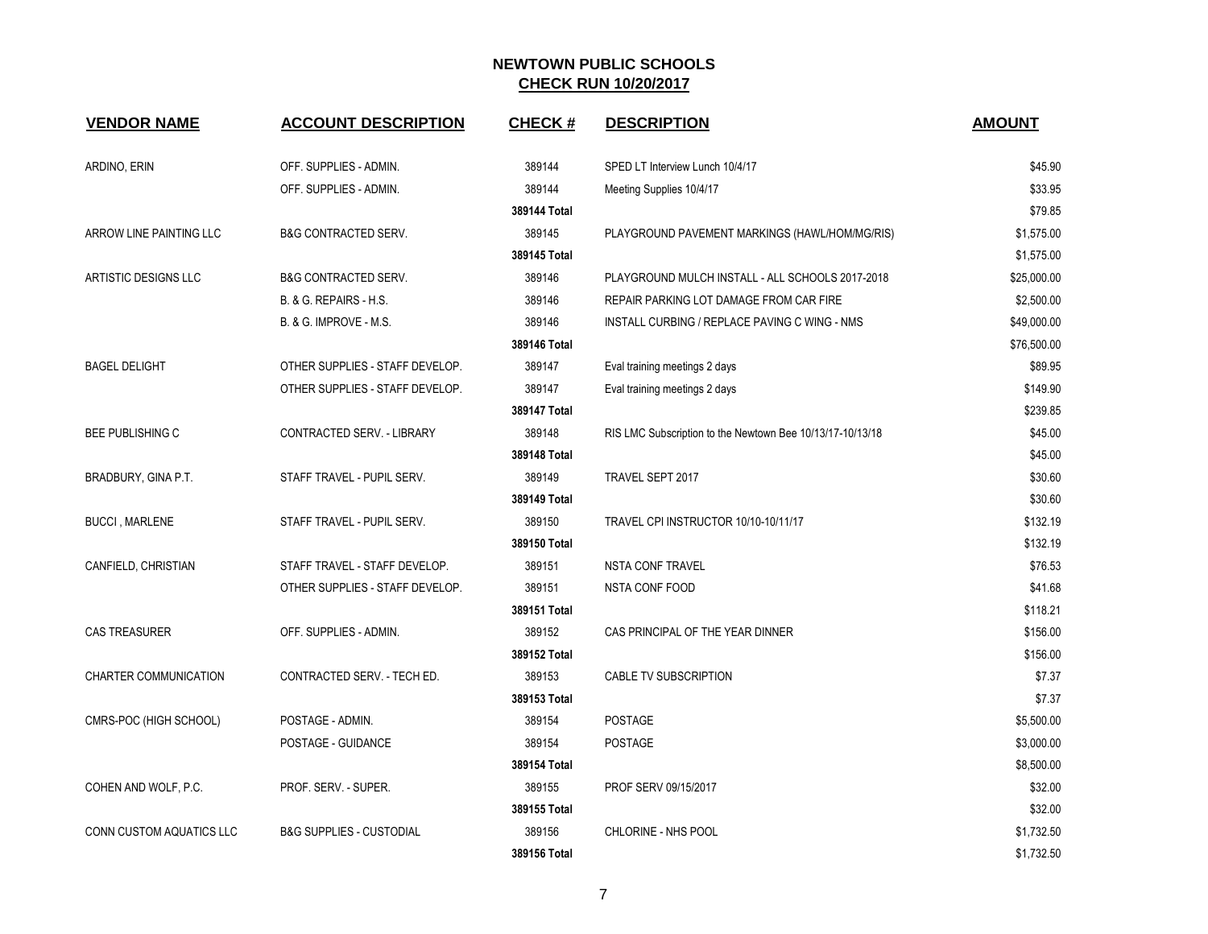| <b>VENDOR NAME</b>           | <b>ACCOUNT DESCRIPTION</b>          | <b>CHECK#</b> | <b>DESCRIPTION</b>                                        | <b>AMOUNT</b> |
|------------------------------|-------------------------------------|---------------|-----------------------------------------------------------|---------------|
| ARDINO, ERIN                 | OFF. SUPPLIES - ADMIN.              | 389144        | SPED LT Interview Lunch 10/4/17                           | \$45.90       |
|                              | OFF. SUPPLIES - ADMIN.              | 389144        | Meeting Supplies 10/4/17                                  | \$33.95       |
|                              |                                     | 389144 Total  |                                                           | \$79.85       |
| ARROW LINE PAINTING LLC      | <b>B&amp;G CONTRACTED SERV.</b>     | 389145        | PLAYGROUND PAVEMENT MARKINGS (HAWL/HOM/MG/RIS)            | \$1,575.00    |
|                              |                                     | 389145 Total  |                                                           | \$1,575.00    |
| ARTISTIC DESIGNS LLC         | <b>B&amp;G CONTRACTED SERV.</b>     | 389146        | PLAYGROUND MULCH INSTALL - ALL SCHOOLS 2017-2018          | \$25,000.00   |
|                              | B. & G. REPAIRS - H.S.              | 389146        | REPAIR PARKING LOT DAMAGE FROM CAR FIRE                   | \$2,500.00    |
|                              | B. & G. IMPROVE - M.S.              | 389146        | INSTALL CURBING / REPLACE PAVING C WING - NMS             | \$49,000.00   |
|                              |                                     | 389146 Total  |                                                           | \$76,500.00   |
| <b>BAGEL DELIGHT</b>         | OTHER SUPPLIES - STAFF DEVELOP.     | 389147        | Eval training meetings 2 days                             | \$89.95       |
|                              | OTHER SUPPLIES - STAFF DEVELOP.     | 389147        | Eval training meetings 2 days                             | \$149.90      |
|                              |                                     | 389147 Total  |                                                           | \$239.85      |
| <b>BEE PUBLISHING C</b>      | CONTRACTED SERV. - LIBRARY          | 389148        | RIS LMC Subscription to the Newtown Bee 10/13/17-10/13/18 | \$45.00       |
|                              |                                     | 389148 Total  |                                                           | \$45.00       |
| BRADBURY, GINA P.T.          | STAFF TRAVEL - PUPIL SERV.          | 389149        | TRAVEL SEPT 2017                                          | \$30.60       |
|                              |                                     | 389149 Total  |                                                           | \$30.60       |
| <b>BUCCI, MARLENE</b>        | STAFF TRAVEL - PUPIL SERV.          | 389150        | TRAVEL CPI INSTRUCTOR 10/10-10/11/17                      | \$132.19      |
|                              |                                     | 389150 Total  |                                                           | \$132.19      |
| CANFIELD, CHRISTIAN          | STAFF TRAVEL - STAFF DEVELOP.       | 389151        | <b>NSTA CONF TRAVEL</b>                                   | \$76.53       |
|                              | OTHER SUPPLIES - STAFF DEVELOP.     | 389151        | <b>NSTA CONF FOOD</b>                                     | \$41.68       |
|                              |                                     | 389151 Total  |                                                           | \$118.21      |
| <b>CAS TREASURER</b>         | OFF. SUPPLIES - ADMIN.              | 389152        | CAS PRINCIPAL OF THE YEAR DINNER                          | \$156.00      |
|                              |                                     | 389152 Total  |                                                           | \$156.00      |
| <b>CHARTER COMMUNICATION</b> | CONTRACTED SERV. - TECH ED.         | 389153        | CABLE TV SUBSCRIPTION                                     | \$7.37        |
|                              |                                     | 389153 Total  |                                                           | \$7.37        |
| CMRS-POC (HIGH SCHOOL)       | POSTAGE - ADMIN.                    | 389154        | <b>POSTAGE</b>                                            | \$5,500.00    |
|                              | POSTAGE - GUIDANCE                  | 389154        | <b>POSTAGE</b>                                            | \$3,000.00    |
|                              |                                     | 389154 Total  |                                                           | \$8,500.00    |
| COHEN AND WOLF, P.C.         | PROF. SERV. - SUPER.                | 389155        | PROF SERV 09/15/2017                                      | \$32.00       |
|                              |                                     | 389155 Total  |                                                           | \$32.00       |
| CONN CUSTOM AQUATICS LLC     | <b>B&amp;G SUPPLIES - CUSTODIAL</b> | 389156        | CHLORINE - NHS POOL                                       | \$1,732.50    |
|                              |                                     | 389156 Total  |                                                           | \$1,732.50    |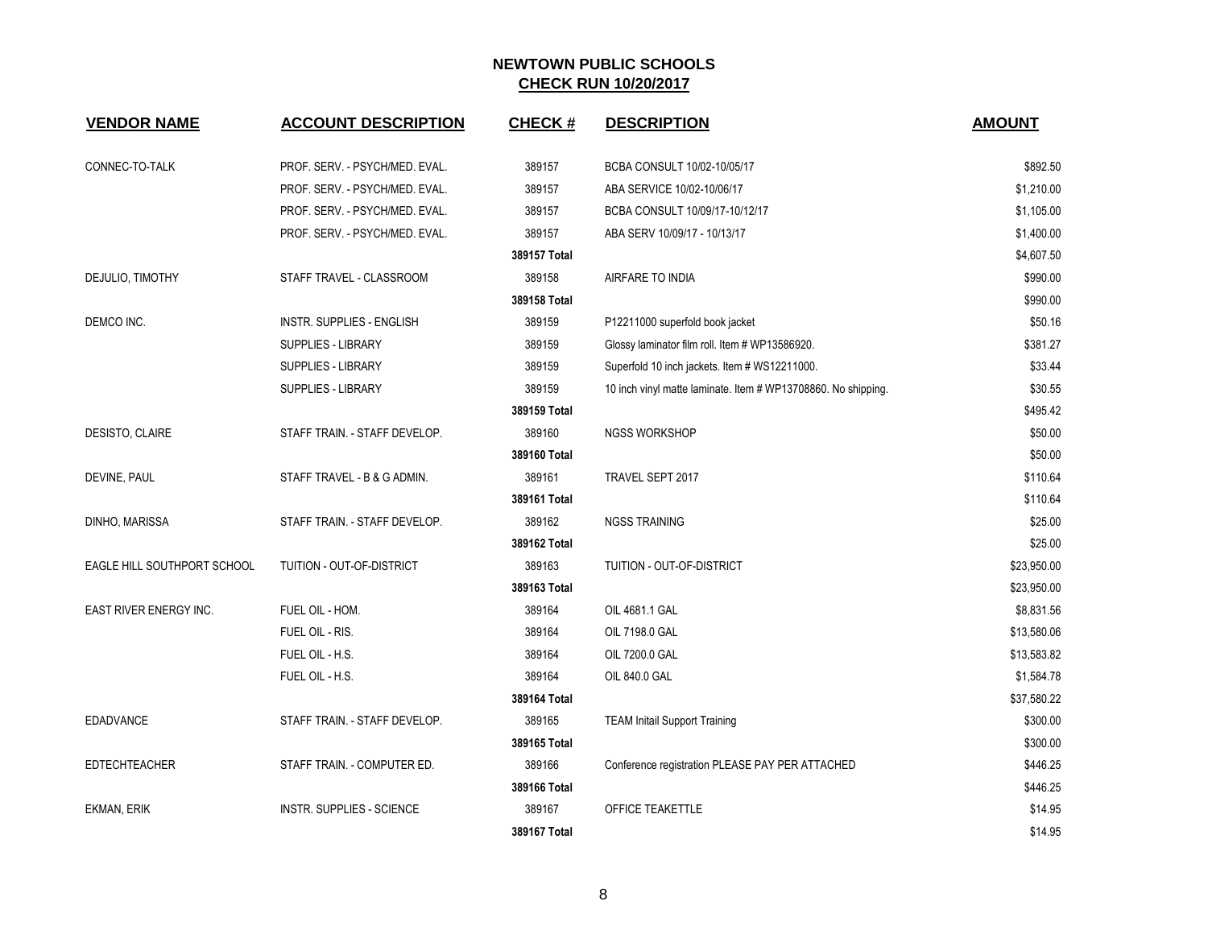| <b>VENDOR NAME</b>          | <b>ACCOUNT DESCRIPTION</b>       | <b>CHECK#</b> | <b>DESCRIPTION</b>                                            | <b>AMOUNT</b> |
|-----------------------------|----------------------------------|---------------|---------------------------------------------------------------|---------------|
|                             |                                  |               |                                                               |               |
| CONNEC-TO-TALK              | PROF. SERV. - PSYCH/MED. EVAL.   | 389157        | BCBA CONSULT 10/02-10/05/17                                   | \$892.50      |
|                             | PROF. SERV. - PSYCH/MED. EVAL.   | 389157        | ABA SERVICE 10/02-10/06/17                                    | \$1,210.00    |
|                             | PROF. SERV. - PSYCH/MED. EVAL.   | 389157        | BCBA CONSULT 10/09/17-10/12/17                                | \$1,105.00    |
|                             | PROF. SERV. - PSYCH/MED. EVAL.   | 389157        | ABA SERV 10/09/17 - 10/13/17                                  | \$1,400.00    |
|                             |                                  | 389157 Total  |                                                               | \$4,607.50    |
| DEJULIO, TIMOTHY            | STAFF TRAVEL - CLASSROOM         | 389158        | AIRFARE TO INDIA                                              | \$990.00      |
|                             |                                  | 389158 Total  |                                                               | \$990.00      |
| DEMCO INC.                  | <b>INSTR. SUPPLIES - ENGLISH</b> | 389159        | P12211000 superfold book jacket                               | \$50.16       |
|                             | <b>SUPPLIES - LIBRARY</b>        | 389159        | Glossy laminator film roll. Item # WP13586920.                | \$381.27      |
|                             | <b>SUPPLIES - LIBRARY</b>        | 389159        | Superfold 10 inch jackets. Item # WS12211000.                 | \$33.44       |
|                             | <b>SUPPLIES - LIBRARY</b>        | 389159        | 10 inch vinyl matte laminate. Item # WP13708860. No shipping. | \$30.55       |
|                             |                                  | 389159 Total  |                                                               | \$495.42      |
| DESISTO, CLAIRE             | STAFF TRAIN. - STAFF DEVELOP.    | 389160        | <b>NGSS WORKSHOP</b>                                          | \$50.00       |
|                             |                                  | 389160 Total  |                                                               | \$50.00       |
| DEVINE, PAUL                | STAFF TRAVEL - B & G ADMIN.      | 389161        | TRAVEL SEPT 2017                                              | \$110.64      |
|                             |                                  | 389161 Total  |                                                               | \$110.64      |
| DINHO, MARISSA              | STAFF TRAIN. - STAFF DEVELOP.    | 389162        | <b>NGSS TRAINING</b>                                          | \$25.00       |
|                             |                                  | 389162 Total  |                                                               | \$25.00       |
| EAGLE HILL SOUTHPORT SCHOOL | TUITION - OUT-OF-DISTRICT        | 389163        | TUITION - OUT-OF-DISTRICT                                     | \$23,950.00   |
|                             |                                  | 389163 Total  |                                                               | \$23,950.00   |
| EAST RIVER ENERGY INC.      | FUEL OIL - HOM.                  | 389164        | OIL 4681.1 GAL                                                | \$8,831.56    |
|                             | FUEL OIL - RIS.                  | 389164        | OIL 7198.0 GAL                                                | \$13,580.06   |
|                             | FUEL OIL - H.S.                  | 389164        | OIL 7200.0 GAL                                                | \$13,583.82   |
|                             | FUEL OIL - H.S.                  | 389164        | OIL 840.0 GAL                                                 | \$1,584.78    |
|                             |                                  | 389164 Total  |                                                               | \$37,580.22   |
| <b>EDADVANCE</b>            | STAFF TRAIN. - STAFF DEVELOP.    | 389165        | <b>TEAM Initail Support Training</b>                          | \$300.00      |
|                             |                                  | 389165 Total  |                                                               | \$300.00      |
| <b>EDTECHTEACHER</b>        | STAFF TRAIN. - COMPUTER ED.      | 389166        | Conference registration PLEASE PAY PER ATTACHED               | \$446.25      |
|                             |                                  | 389166 Total  |                                                               | \$446.25      |
| EKMAN, ERIK                 | <b>INSTR. SUPPLIES - SCIENCE</b> | 389167        | OFFICE TEAKETTLE                                              | \$14.95       |
|                             |                                  | 389167 Total  |                                                               | \$14.95       |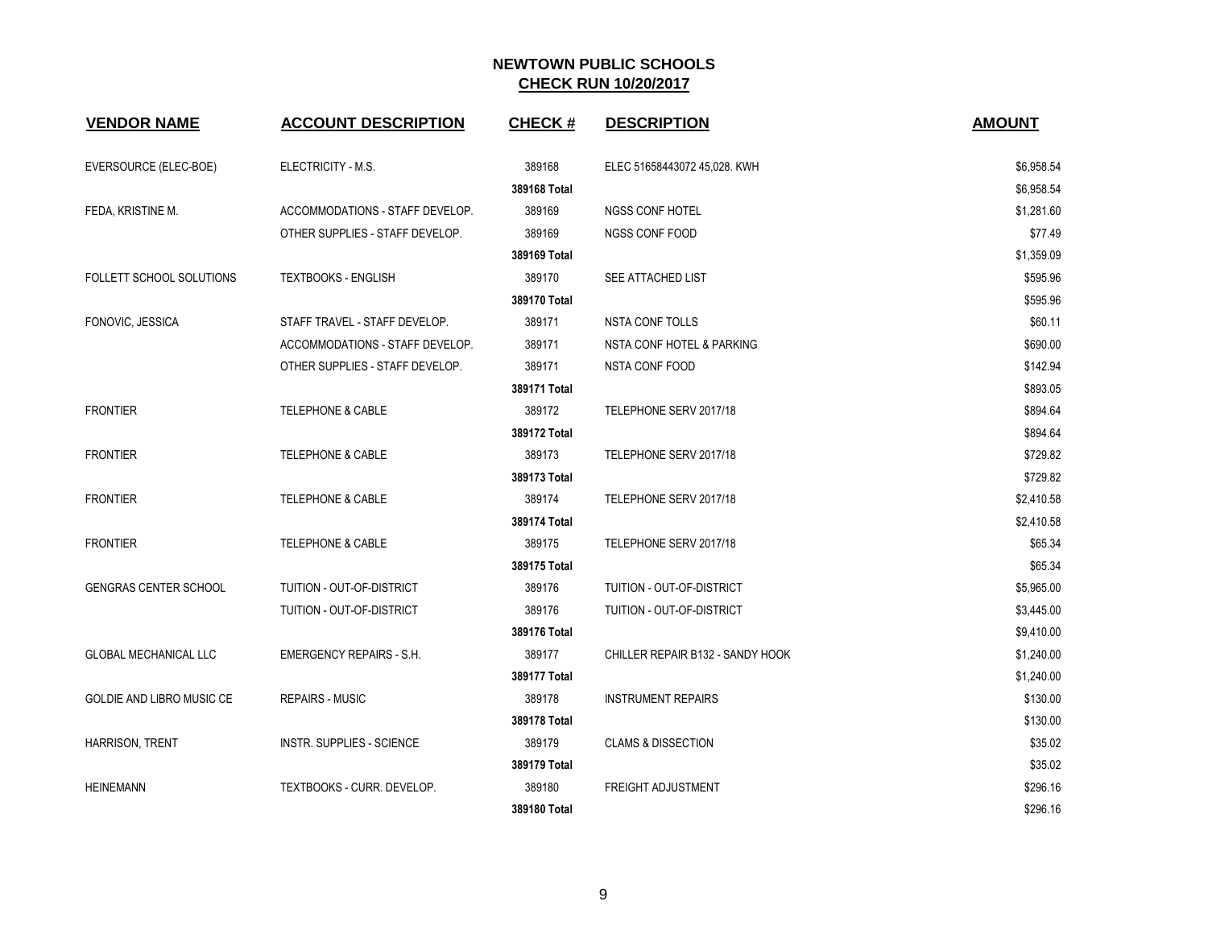| <b>VENDOR NAME</b>              | <b>ACCOUNT DESCRIPTION</b>      | <b>CHECK#</b> | <b>DESCRIPTION</b>               | <b>AMOUNT</b> |
|---------------------------------|---------------------------------|---------------|----------------------------------|---------------|
| EVERSOURCE (ELEC-BOE)           | ELECTRICITY - M.S.              | 389168        | ELEC 51658443072 45,028. KWH     | \$6,958.54    |
|                                 |                                 | 389168 Total  |                                  | \$6,958.54    |
| FEDA, KRISTINE M.               | ACCOMMODATIONS - STAFF DEVELOP. | 389169        | <b>NGSS CONF HOTEL</b>           | \$1,281.60    |
|                                 | OTHER SUPPLIES - STAFF DEVELOP. | 389169        | <b>NGSS CONF FOOD</b>            | \$77.49       |
|                                 |                                 | 389169 Total  |                                  | \$1,359.09    |
| <b>FOLLETT SCHOOL SOLUTIONS</b> | <b>TEXTBOOKS - ENGLISH</b>      | 389170        | SEE ATTACHED LIST                | \$595.96      |
|                                 |                                 | 389170 Total  |                                  | \$595.96      |
| FONOVIC, JESSICA                | STAFF TRAVEL - STAFF DEVELOP.   | 389171        | <b>NSTA CONF TOLLS</b>           | \$60.11       |
|                                 | ACCOMMODATIONS - STAFF DEVELOP. | 389171        | NSTA CONF HOTEL & PARKING        | \$690.00      |
|                                 | OTHER SUPPLIES - STAFF DEVELOP. | 389171        | NSTA CONF FOOD                   | \$142.94      |
|                                 |                                 | 389171 Total  |                                  | \$893.05      |
| <b>FRONTIER</b>                 | <b>TELEPHONE &amp; CABLE</b>    | 389172        | TELEPHONE SERV 2017/18           | \$894.64      |
|                                 |                                 | 389172 Total  |                                  | \$894.64      |
| <b>FRONTIER</b>                 | <b>TELEPHONE &amp; CABLE</b>    | 389173        | TELEPHONE SERV 2017/18           | \$729.82      |
|                                 |                                 | 389173 Total  |                                  | \$729.82      |
| <b>FRONTIER</b>                 | <b>TELEPHONE &amp; CABLE</b>    | 389174        | TELEPHONE SERV 2017/18           | \$2,410.58    |
|                                 |                                 | 389174 Total  |                                  | \$2,410.58    |
| <b>FRONTIER</b>                 | <b>TELEPHONE &amp; CABLE</b>    | 389175        | TELEPHONE SERV 2017/18           | \$65.34       |
|                                 |                                 | 389175 Total  |                                  | \$65.34       |
| <b>GENGRAS CENTER SCHOOL</b>    | TUITION - OUT-OF-DISTRICT       | 389176        | TUITION - OUT-OF-DISTRICT        | \$5,965.00    |
|                                 | TUITION - OUT-OF-DISTRICT       | 389176        | TUITION - OUT-OF-DISTRICT        | \$3,445.00    |
|                                 |                                 | 389176 Total  |                                  | \$9,410.00    |
| <b>GLOBAL MECHANICAL LLC</b>    | <b>EMERGENCY REPAIRS - S.H.</b> | 389177        | CHILLER REPAIR B132 - SANDY HOOK | \$1,240.00    |
|                                 |                                 | 389177 Total  |                                  | \$1,240.00    |
| GOLDIE AND LIBRO MUSIC CE       | <b>REPAIRS - MUSIC</b>          | 389178        | <b>INSTRUMENT REPAIRS</b>        | \$130.00      |
|                                 |                                 | 389178 Total  |                                  | \$130.00      |
| <b>HARRISON, TRENT</b>          | INSTR. SUPPLIES - SCIENCE       | 389179        | <b>CLAMS &amp; DISSECTION</b>    | \$35.02       |
|                                 |                                 | 389179 Total  |                                  | \$35.02       |
| <b>HEINEMANN</b>                | TEXTBOOKS - CURR. DEVELOP.      | 389180        | <b>FREIGHT ADJUSTMENT</b>        | \$296.16      |
|                                 |                                 | 389180 Total  |                                  | \$296.16      |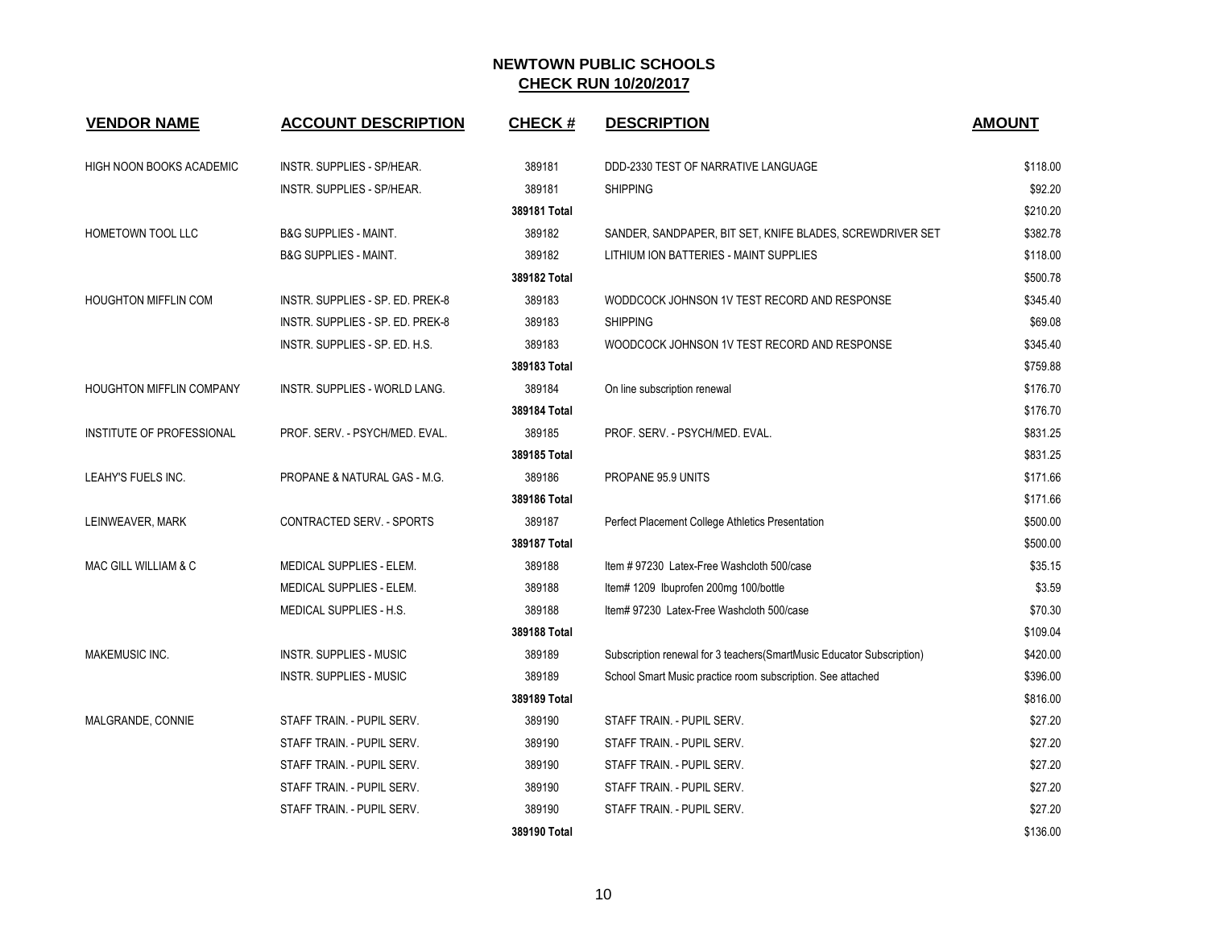| <b>VENDOR NAME</b>              | <b>ACCOUNT DESCRIPTION</b>           | <b>CHECK#</b> | <b>DESCRIPTION</b>                                                    | <b>AMOUNT</b> |
|---------------------------------|--------------------------------------|---------------|-----------------------------------------------------------------------|---------------|
| HIGH NOON BOOKS ACADEMIC        | INSTR. SUPPLIES - SP/HEAR.           | 389181        | DDD-2330 TEST OF NARRATIVE LANGUAGE                                   | \$118.00      |
|                                 | INSTR. SUPPLIES - SP/HEAR.           | 389181        | <b>SHIPPING</b>                                                       | \$92.20       |
|                                 |                                      | 389181 Total  |                                                                       | \$210.20      |
| HOMETOWN TOOL LLC               | <b>B&amp;G SUPPLIES - MAINT.</b>     | 389182        | SANDER, SANDPAPER, BIT SET, KNIFE BLADES, SCREWDRIVER SET             | \$382.78      |
|                                 | <b>B&amp;G SUPPLIES - MAINT.</b>     | 389182        | LITHIUM ION BATTERIES - MAINT SUPPLIES                                | \$118.00      |
|                                 |                                      | 389182 Total  |                                                                       | \$500.78      |
| <b>HOUGHTON MIFFLIN COM</b>     | INSTR. SUPPLIES - SP. ED. PREK-8     | 389183        | WODDCOCK JOHNSON 1V TEST RECORD AND RESPONSE                          | \$345.40      |
|                                 | INSTR. SUPPLIES - SP. ED. PREK-8     | 389183        | <b>SHIPPING</b>                                                       | \$69.08       |
|                                 | INSTR. SUPPLIES - SP. ED. H.S.       | 389183        | WOODCOCK JOHNSON 1V TEST RECORD AND RESPONSE                          | \$345.40      |
|                                 |                                      | 389183 Total  |                                                                       | \$759.88      |
| <b>HOUGHTON MIFFLIN COMPANY</b> | <b>INSTR. SUPPLIES - WORLD LANG.</b> | 389184        | On line subscription renewal                                          | \$176.70      |
|                                 |                                      | 389184 Total  |                                                                       | \$176.70      |
| INSTITUTE OF PROFESSIONAL       | PROF. SERV. - PSYCH/MED. EVAL.       | 389185        | PROF. SERV. - PSYCH/MED. EVAL.                                        | \$831.25      |
|                                 |                                      | 389185 Total  |                                                                       | \$831.25      |
| <b>LEAHY'S FUELS INC.</b>       | PROPANE & NATURAL GAS - M.G.         | 389186        | PROPANE 95.9 UNITS                                                    | \$171.66      |
|                                 |                                      | 389186 Total  |                                                                       | \$171.66      |
| LEINWEAVER, MARK                | CONTRACTED SERV. - SPORTS            | 389187        | Perfect Placement College Athletics Presentation                      | \$500.00      |
|                                 |                                      | 389187 Total  |                                                                       | \$500.00      |
| MAC GILL WILLIAM & C            | MEDICAL SUPPLIES - ELEM.             | 389188        | Item #97230 Latex-Free Washcloth 500/case                             | \$35.15       |
|                                 | MEDICAL SUPPLIES - ELEM.             | 389188        | Item# 1209 Ibuprofen 200mg 100/bottle                                 | \$3.59        |
|                                 | MEDICAL SUPPLIES - H.S.              | 389188        | Item# 97230 Latex-Free Washcloth 500/case                             | \$70.30       |
|                                 |                                      | 389188 Total  |                                                                       | \$109.04      |
| MAKEMUSIC INC.                  | <b>INSTR. SUPPLIES - MUSIC</b>       | 389189        | Subscription renewal for 3 teachers(SmartMusic Educator Subscription) | \$420.00      |
|                                 | INSTR. SUPPLIES - MUSIC              | 389189        | School Smart Music practice room subscription. See attached           | \$396.00      |
|                                 |                                      | 389189 Total  |                                                                       | \$816.00      |
| MALGRANDE, CONNIE               | STAFF TRAIN. - PUPIL SERV.           | 389190        | STAFF TRAIN. - PUPIL SERV.                                            | \$27.20       |
|                                 | STAFF TRAIN. - PUPIL SERV.           | 389190        | STAFF TRAIN. - PUPIL SERV.                                            | \$27.20       |
|                                 | STAFF TRAIN. - PUPIL SERV.           | 389190        | STAFF TRAIN. - PUPIL SERV.                                            | \$27.20       |
|                                 | STAFF TRAIN. - PUPIL SERV.           | 389190        | STAFF TRAIN. - PUPIL SERV.                                            | \$27.20       |
|                                 | STAFF TRAIN. - PUPIL SERV.           | 389190        | STAFF TRAIN. - PUPIL SERV.                                            | \$27.20       |
|                                 |                                      | 389190 Total  |                                                                       | \$136.00      |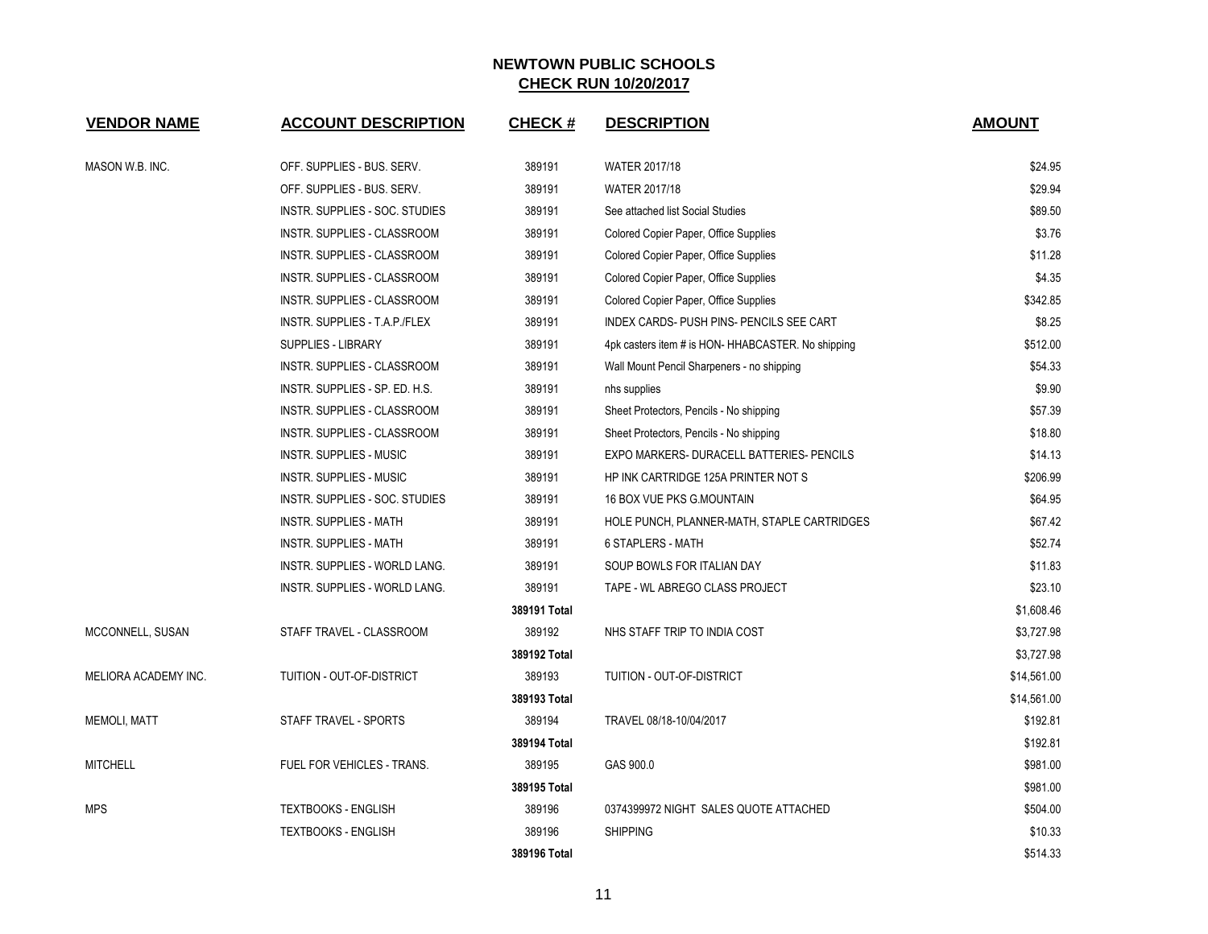| <b>VENDOR NAME</b>   | <b>ACCOUNT DESCRIPTION</b>        | <b>CHECK#</b> | <b>DESCRIPTION</b>                                 | <b>AMOUNT</b> |
|----------------------|-----------------------------------|---------------|----------------------------------------------------|---------------|
| MASON W.B. INC.      | OFF. SUPPLIES - BUS. SERV.        | 389191        | WATER 2017/18                                      | \$24.95       |
|                      | OFF. SUPPLIES - BUS. SERV.        | 389191        | <b>WATER 2017/18</b>                               | \$29.94       |
|                      | INSTR. SUPPLIES - SOC. STUDIES    | 389191        | See attached list Social Studies                   | \$89.50       |
|                      | INSTR. SUPPLIES - CLASSROOM       | 389191        | Colored Copier Paper, Office Supplies              | \$3.76        |
|                      | INSTR. SUPPLIES - CLASSROOM       | 389191        | Colored Copier Paper, Office Supplies              | \$11.28       |
|                      | INSTR. SUPPLIES - CLASSROOM       | 389191        | Colored Copier Paper, Office Supplies              | \$4.35        |
|                      | INSTR. SUPPLIES - CLASSROOM       | 389191        | Colored Copier Paper, Office Supplies              | \$342.85      |
|                      | INSTR. SUPPLIES - T.A.P./FLEX     | 389191        | INDEX CARDS- PUSH PINS- PENCILS SEE CART           | \$8.25        |
|                      | <b>SUPPLIES - LIBRARY</b>         | 389191        | 4pk casters item # is HON- HHABCASTER. No shipping | \$512.00      |
|                      | INSTR. SUPPLIES - CLASSROOM       | 389191        | Wall Mount Pencil Sharpeners - no shipping         | \$54.33       |
|                      | INSTR. SUPPLIES - SP. ED. H.S.    | 389191        | nhs supplies                                       | \$9.90        |
|                      | INSTR. SUPPLIES - CLASSROOM       | 389191        | Sheet Protectors, Pencils - No shipping            | \$57.39       |
|                      | INSTR. SUPPLIES - CLASSROOM       | 389191        | Sheet Protectors, Pencils - No shipping            | \$18.80       |
|                      | INSTR. SUPPLIES - MUSIC           | 389191        | EXPO MARKERS- DURACELL BATTERIES- PENCILS          | \$14.13       |
|                      | INSTR. SUPPLIES - MUSIC           | 389191        | HP INK CARTRIDGE 125A PRINTER NOT S                | \$206.99      |
|                      | INSTR. SUPPLIES - SOC. STUDIES    | 389191        | <b>16 BOX VUE PKS G.MOUNTAIN</b>                   | \$64.95       |
|                      | <b>INSTR. SUPPLIES - MATH</b>     | 389191        | HOLE PUNCH, PLANNER-MATH, STAPLE CARTRIDGES        | \$67.42       |
|                      | <b>INSTR. SUPPLIES - MATH</b>     | 389191        | <b>6 STAPLERS - MATH</b>                           | \$52.74       |
|                      | INSTR. SUPPLIES - WORLD LANG.     | 389191        | SOUP BOWLS FOR ITALIAN DAY                         | \$11.83       |
|                      | INSTR. SUPPLIES - WORLD LANG.     | 389191        | TAPE - WL ABREGO CLASS PROJECT                     | \$23.10       |
|                      |                                   | 389191 Total  |                                                    | \$1,608.46    |
| MCCONNELL, SUSAN     | STAFF TRAVEL - CLASSROOM          | 389192        | NHS STAFF TRIP TO INDIA COST                       | \$3,727.98    |
|                      |                                   | 389192 Total  |                                                    | \$3,727.98    |
| MELIORA ACADEMY INC. | TUITION - OUT-OF-DISTRICT         | 389193        | TUITION - OUT-OF-DISTRICT                          | \$14,561.00   |
|                      |                                   | 389193 Total  |                                                    | \$14,561.00   |
| <b>MEMOLI, MATT</b>  | STAFF TRAVEL - SPORTS             | 389194        | TRAVEL 08/18-10/04/2017                            | \$192.81      |
|                      |                                   | 389194 Total  |                                                    | \$192.81      |
| <b>MITCHELL</b>      | <b>FUEL FOR VEHICLES - TRANS.</b> | 389195        | GAS 900.0                                          | \$981.00      |
|                      |                                   | 389195 Total  |                                                    | \$981.00      |
| <b>MPS</b>           | <b>TEXTBOOKS - ENGLISH</b>        | 389196        | 0374399972 NIGHT SALES QUOTE ATTACHED              | \$504.00      |
|                      | <b>TEXTBOOKS - ENGLISH</b>        | 389196        | <b>SHIPPING</b>                                    | \$10.33       |
|                      |                                   | 389196 Total  |                                                    | \$514.33      |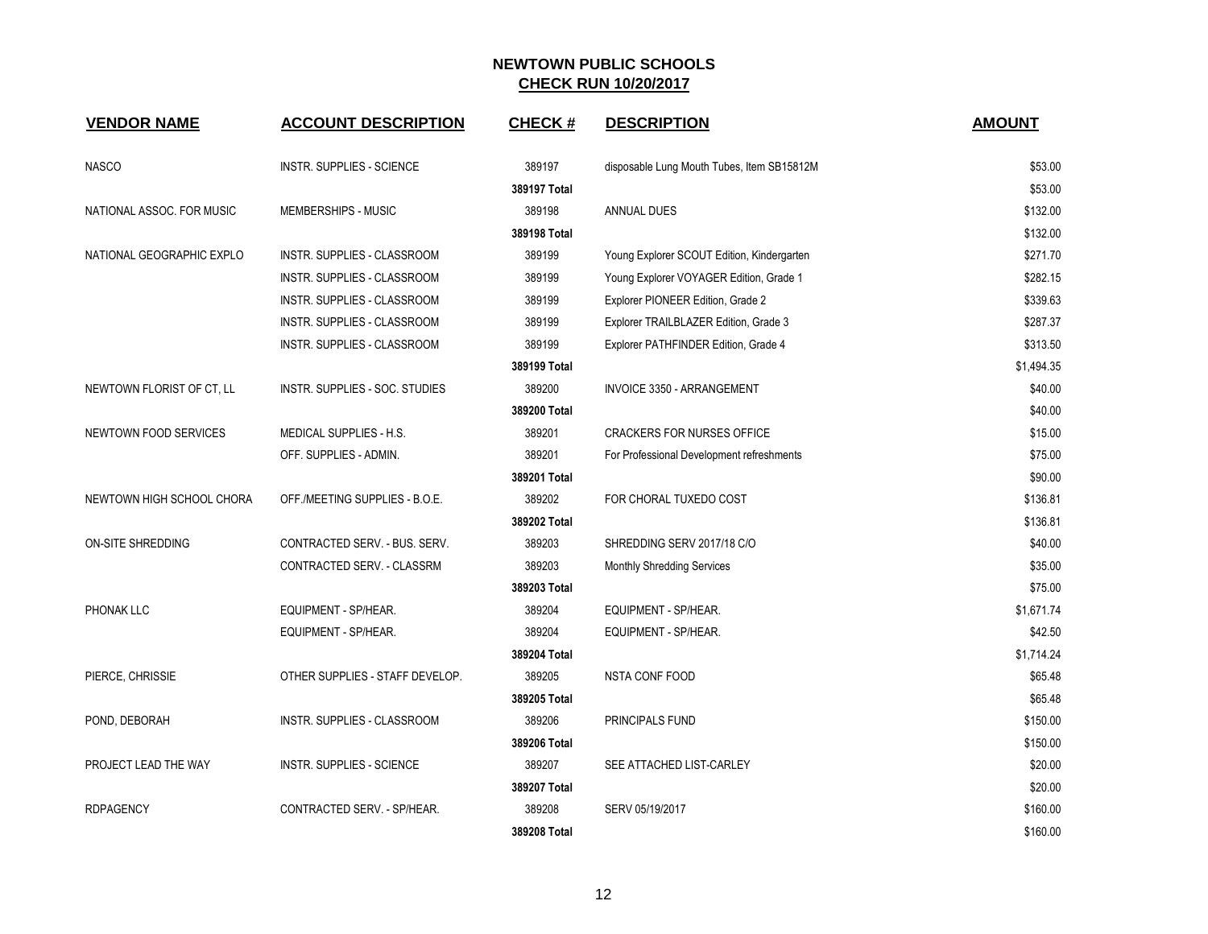| <b>VENDOR NAME</b>        | <b>ACCOUNT DESCRIPTION</b>       | <b>CHECK#</b> | <b>DESCRIPTION</b>                         | <b>AMOUNT</b> |
|---------------------------|----------------------------------|---------------|--------------------------------------------|---------------|
| <b>NASCO</b>              | <b>INSTR. SUPPLIES - SCIENCE</b> | 389197        | disposable Lung Mouth Tubes, Item SB15812M | \$53.00       |
|                           |                                  | 389197 Total  |                                            | \$53.00       |
| NATIONAL ASSOC. FOR MUSIC | MEMBERSHIPS - MUSIC              | 389198        | ANNUAL DUES                                | \$132.00      |
|                           |                                  | 389198 Total  |                                            | \$132.00      |
| NATIONAL GEOGRAPHIC EXPLO | INSTR. SUPPLIES - CLASSROOM      | 389199        | Young Explorer SCOUT Edition, Kindergarten | \$271.70      |
|                           | INSTR. SUPPLIES - CLASSROOM      | 389199        | Young Explorer VOYAGER Edition, Grade 1    | \$282.15      |
|                           | INSTR. SUPPLIES - CLASSROOM      | 389199        | Explorer PIONEER Edition, Grade 2          | \$339.63      |
|                           | INSTR. SUPPLIES - CLASSROOM      | 389199        | Explorer TRAILBLAZER Edition, Grade 3      | \$287.37      |
|                           | INSTR. SUPPLIES - CLASSROOM      | 389199        | Explorer PATHFINDER Edition, Grade 4       | \$313.50      |
|                           |                                  | 389199 Total  |                                            | \$1,494.35    |
| NEWTOWN FLORIST OF CT, LL | INSTR. SUPPLIES - SOC. STUDIES   | 389200        | <b>INVOICE 3350 - ARRANGEMENT</b>          | \$40.00       |
|                           |                                  | 389200 Total  |                                            | \$40.00       |
| NEWTOWN FOOD SERVICES     | MEDICAL SUPPLIES - H.S.          | 389201        | <b>CRACKERS FOR NURSES OFFICE</b>          | \$15.00       |
|                           | OFF. SUPPLIES - ADMIN.           | 389201        | For Professional Development refreshments  | \$75.00       |
|                           |                                  | 389201 Total  |                                            | \$90.00       |
| NEWTOWN HIGH SCHOOL CHORA | OFF /MEETING SUPPLIES - B.O.E.   | 389202        | FOR CHORAL TUXEDO COST                     | \$136.81      |
|                           |                                  | 389202 Total  |                                            | \$136.81      |
| ON-SITE SHREDDING         | CONTRACTED SERV. - BUS. SERV.    | 389203        | SHREDDING SERV 2017/18 C/O                 | \$40.00       |
|                           | CONTRACTED SERV. - CLASSRM       | 389203        | <b>Monthly Shredding Services</b>          | \$35.00       |
|                           |                                  | 389203 Total  |                                            | \$75.00       |
| PHONAK LLC                | EQUIPMENT - SP/HEAR.             | 389204        | EQUIPMENT - SP/HEAR.                       | \$1,671.74    |
|                           | EQUIPMENT - SP/HEAR.             | 389204        | EQUIPMENT - SP/HEAR.                       | \$42.50       |
|                           |                                  | 389204 Total  |                                            | \$1,714.24    |
| PIERCE, CHRISSIE          | OTHER SUPPLIES - STAFF DEVELOP.  | 389205        | NSTA CONF FOOD                             | \$65.48       |
|                           |                                  | 389205 Total  |                                            | \$65.48       |
| POND, DEBORAH             | INSTR. SUPPLIES - CLASSROOM      | 389206        | PRINCIPALS FUND                            | \$150.00      |
|                           |                                  | 389206 Total  |                                            | \$150.00      |
| PROJECT LEAD THE WAY      | <b>INSTR. SUPPLIES - SCIENCE</b> | 389207        | SEE ATTACHED LIST-CARLEY                   | \$20.00       |
|                           |                                  | 389207 Total  |                                            | \$20.00       |
| <b>RDPAGENCY</b>          | CONTRACTED SERV. - SP/HEAR.      | 389208        | SERV 05/19/2017                            | \$160.00      |
|                           |                                  | 389208 Total  |                                            | \$160.00      |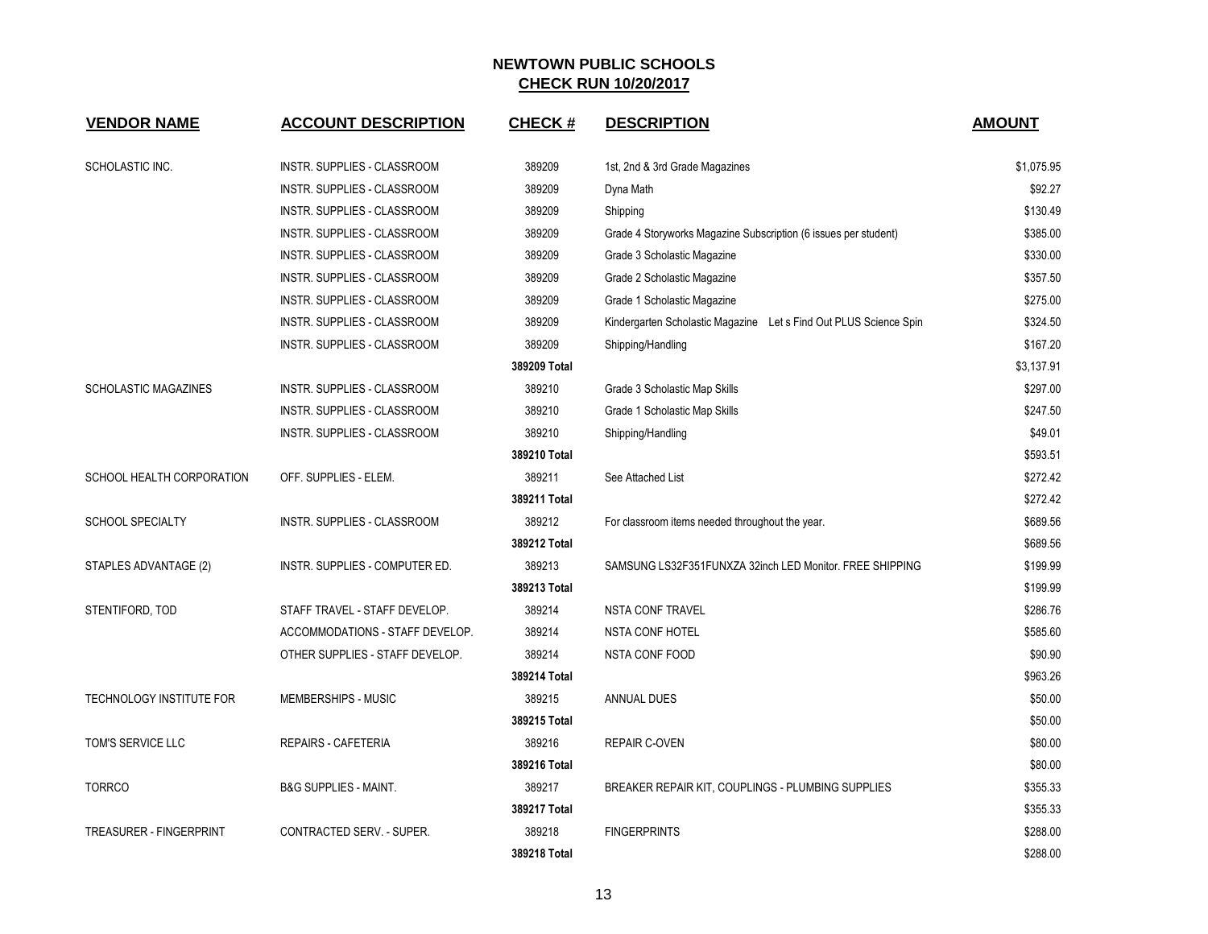| <b>VENDOR NAME</b>          | <b>ACCOUNT DESCRIPTION</b>       | <b>CHECK#</b> | <b>DESCRIPTION</b>                                                | <b>AMOUNT</b> |
|-----------------------------|----------------------------------|---------------|-------------------------------------------------------------------|---------------|
| <b>SCHOLASTIC INC.</b>      | INSTR. SUPPLIES - CLASSROOM      | 389209        | 1st, 2nd & 3rd Grade Magazines                                    | \$1.075.95    |
|                             | INSTR. SUPPLIES - CLASSROOM      | 389209        | Dyna Math                                                         | \$92.27       |
|                             | INSTR. SUPPLIES - CLASSROOM      | 389209        | Shipping                                                          | \$130.49      |
|                             | INSTR. SUPPLIES - CLASSROOM      | 389209        | Grade 4 Storyworks Magazine Subscription (6 issues per student)   | \$385.00      |
|                             | INSTR. SUPPLIES - CLASSROOM      | 389209        | Grade 3 Scholastic Magazine                                       | \$330.00      |
|                             | INSTR. SUPPLIES - CLASSROOM      | 389209        | Grade 2 Scholastic Magazine                                       | \$357.50      |
|                             | INSTR. SUPPLIES - CLASSROOM      | 389209        | Grade 1 Scholastic Magazine                                       | \$275.00      |
|                             | INSTR. SUPPLIES - CLASSROOM      | 389209        | Kindergarten Scholastic Magazine Let s Find Out PLUS Science Spin | \$324.50      |
|                             | INSTR. SUPPLIES - CLASSROOM      | 389209        | Shipping/Handling                                                 | \$167.20      |
|                             |                                  | 389209 Total  |                                                                   | \$3,137.91    |
| <b>SCHOLASTIC MAGAZINES</b> | INSTR. SUPPLIES - CLASSROOM      | 389210        | Grade 3 Scholastic Map Skills                                     | \$297.00      |
|                             | INSTR. SUPPLIES - CLASSROOM      | 389210        | Grade 1 Scholastic Map Skills                                     | \$247.50      |
|                             | INSTR. SUPPLIES - CLASSROOM      | 389210        | Shipping/Handling                                                 | \$49.01       |
|                             |                                  | 389210 Total  |                                                                   | \$593.51      |
| SCHOOL HEALTH CORPORATION   | OFF. SUPPLIES - ELEM.            | 389211        | See Attached List                                                 | \$272.42      |
|                             |                                  | 389211 Total  |                                                                   | \$272.42      |
| <b>SCHOOL SPECIALTY</b>     | INSTR. SUPPLIES - CLASSROOM      | 389212        | For classroom items needed throughout the year.                   | \$689.56      |
|                             |                                  | 389212 Total  |                                                                   | \$689.56      |
| STAPLES ADVANTAGE (2)       | INSTR. SUPPLIES - COMPUTER ED.   | 389213        | SAMSUNG LS32F351FUNXZA 32inch LED Monitor. FREE SHIPPING          | \$199.99      |
|                             |                                  | 389213 Total  |                                                                   | \$199.99      |
| STENTIFORD, TOD             | STAFF TRAVEL - STAFF DEVELOP.    | 389214        | <b>NSTA CONF TRAVEL</b>                                           | \$286.76      |
|                             | ACCOMMODATIONS - STAFF DEVELOP.  | 389214        | <b>NSTA CONF HOTEL</b>                                            | \$585.60      |
|                             | OTHER SUPPLIES - STAFF DEVELOP.  | 389214        | <b>NSTA CONF FOOD</b>                                             | \$90.90       |
|                             |                                  | 389214 Total  |                                                                   | \$963.26      |
| TECHNOLOGY INSTITUTE FOR    | MEMBERSHIPS - MUSIC              | 389215        | ANNUAL DUES                                                       | \$50.00       |
|                             |                                  | 389215 Total  |                                                                   | \$50.00       |
| TOM'S SERVICE LLC           | REPAIRS - CAFETERIA              | 389216        | <b>REPAIR C-OVEN</b>                                              | \$80.00       |
|                             |                                  | 389216 Total  |                                                                   | \$80.00       |
| <b>TORRCO</b>               | <b>B&amp;G SUPPLIES - MAINT.</b> | 389217        | BREAKER REPAIR KIT, COUPLINGS - PLUMBING SUPPLIES                 | \$355.33      |
|                             |                                  | 389217 Total  |                                                                   | \$355.33      |
| TREASURER - FINGERPRINT     | CONTRACTED SERV. - SUPER.        | 389218        | <b>FINGERPRINTS</b>                                               | \$288.00      |
|                             |                                  | 389218 Total  |                                                                   | \$288.00      |